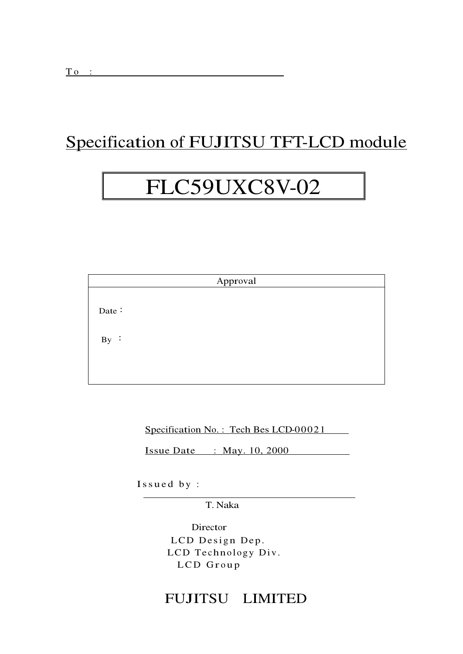## Specification of FUJITSU TFT-LCD module

# FLC59UXC8V-02

|       |  | Approval |  |  |
|-------|--|----------|--|--|
|       |  |          |  |  |
| Date: |  |          |  |  |
|       |  |          |  |  |
| By:   |  |          |  |  |
|       |  |          |  |  |
|       |  |          |  |  |

Specification No.: Tech Bes LCD-00021

Issue Date : May.  $10, 2000$ 

Issued by:

T. Naka

Director LCD Design Dep. LCD Technology Div. LCD Group

### FUJITSU LIMITED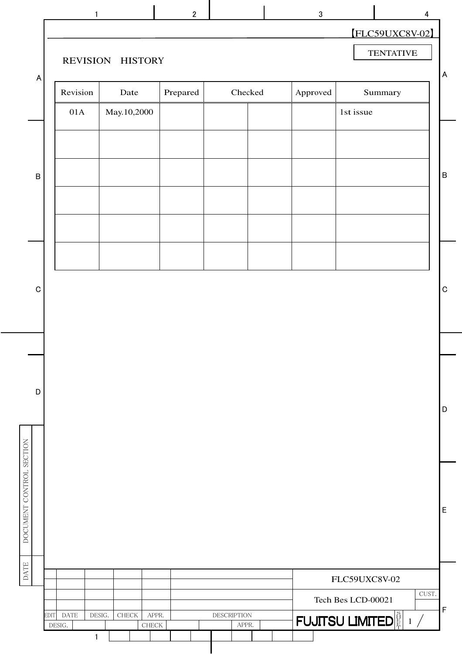| $\mathbf{1}$        |                                  | $\overline{2}$ |                    | $\sqrt{3}$ |                                           | 4     |
|---------------------|----------------------------------|----------------|--------------------|------------|-------------------------------------------|-------|
|                     | REVISION HISTORY                 |                |                    |            | [FLC59UXC8V-02]<br><b>TENTATIVE</b>       |       |
| Revision            | Date                             | Prepared       | Checked            | Approved   | Summary                                   |       |
| 01A                 | May.10,2000                      |                |                    |            | 1st issue                                 |       |
|                     |                                  |                |                    |            |                                           |       |
|                     |                                  |                |                    |            |                                           |       |
|                     |                                  |                |                    |            |                                           |       |
|                     |                                  |                |                    |            |                                           |       |
|                     |                                  |                |                    |            |                                           |       |
|                     |                                  |                |                    |            |                                           |       |
|                     |                                  |                |                    |            |                                           |       |
|                     |                                  |                |                    |            |                                           |       |
|                     |                                  |                |                    |            |                                           |       |
|                     |                                  |                |                    |            |                                           |       |
|                     |                                  |                |                    |            |                                           |       |
|                     |                                  |                |                    |            |                                           |       |
|                     |                                  |                |                    |            |                                           |       |
|                     |                                  |                |                    |            |                                           |       |
|                     |                                  |                |                    |            |                                           |       |
|                     |                                  |                |                    |            |                                           |       |
|                     |                                  |                |                    |            |                                           |       |
|                     |                                  |                |                    |            | FLC59UXC8V-02                             | CUST. |
| DATE<br><b>EDIT</b> | APPR.<br>DESIG.<br>${\rm CHECK}$ |                | <b>DESCRIPTION</b> |            | Tech Bes LCD-00021                        |       |
| DESIG.              | ${\rm CHECK}$                    |                | APPR.              |            | <b>FUJITSU LIMITED</b> $\frac{8}{15}$ 1 / |       |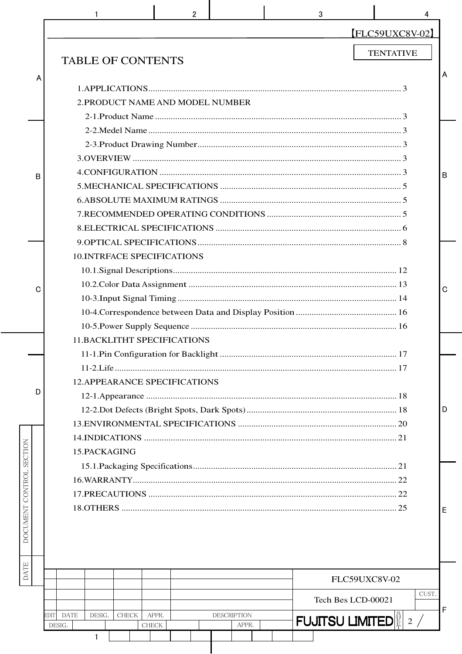|                          | $\overline{2}$<br>3                                                                           | 4                                 |
|--------------------------|-----------------------------------------------------------------------------------------------|-----------------------------------|
|                          |                                                                                               | FLC59UXC8V-02                     |
|                          | <b>TABLE OF CONTENTS</b>                                                                      | <b>TENTATIVE</b>                  |
| Α                        |                                                                                               | A                                 |
|                          |                                                                                               |                                   |
|                          | 2. PRODUCT NAME AND MODEL NUMBER                                                              |                                   |
|                          |                                                                                               |                                   |
|                          |                                                                                               |                                   |
|                          |                                                                                               |                                   |
|                          |                                                                                               |                                   |
| B                        |                                                                                               | B                                 |
|                          |                                                                                               |                                   |
|                          |                                                                                               |                                   |
|                          |                                                                                               |                                   |
|                          |                                                                                               |                                   |
|                          |                                                                                               |                                   |
|                          | <b>10.INTRFACE SPECIFICATIONS</b>                                                             |                                   |
|                          |                                                                                               |                                   |
| C                        |                                                                                               | $\mathbf C$                       |
|                          |                                                                                               |                                   |
|                          |                                                                                               |                                   |
|                          |                                                                                               |                                   |
|                          | <b>11.BACKLITHT SPECIFICATIONS</b>                                                            |                                   |
|                          |                                                                                               |                                   |
|                          |                                                                                               |                                   |
| D                        | <b>12.APPEARANCE SPECIFICATIONS</b>                                                           |                                   |
|                          |                                                                                               |                                   |
|                          |                                                                                               | D                                 |
|                          |                                                                                               |                                   |
|                          |                                                                                               |                                   |
|                          | 15.PACKAGING                                                                                  |                                   |
|                          |                                                                                               |                                   |
|                          |                                                                                               |                                   |
| DOCUMENT CONTROL SECTION |                                                                                               |                                   |
|                          |                                                                                               | E                                 |
|                          |                                                                                               |                                   |
|                          |                                                                                               |                                   |
|                          |                                                                                               |                                   |
| DATE                     |                                                                                               | FLC59UXC8V-02                     |
|                          |                                                                                               | CUST.<br>Tech Bes LCD-00021       |
|                          | <b>DESCRIPTION</b><br><b>EDIT</b><br><b>DATE</b><br>DESIG.<br><b>CHECK</b><br>APPR.<br>DESIG. | F<br><b>FUJITSU LIMITED</b> E 2 / |
|                          | <b>CHECK</b><br>APPR.<br>1                                                                    |                                   |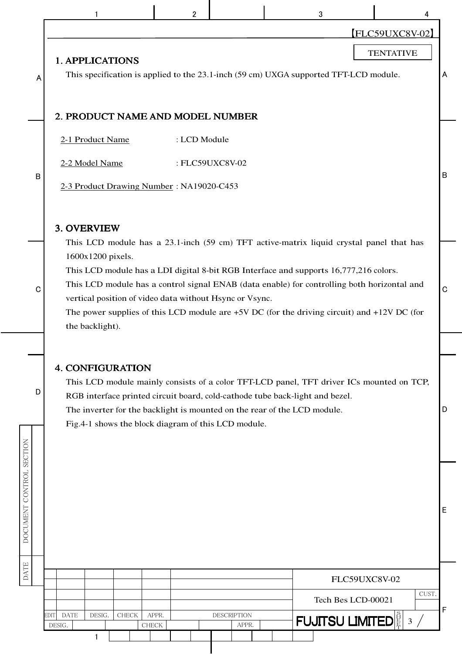|                          |                                                                                                                                                                                                                                                                                                                                                                                            | $\overline{2}$ |                             | 3                                                                                        | 4                                 |   |  |  |  |  |  |  |  |  |
|--------------------------|--------------------------------------------------------------------------------------------------------------------------------------------------------------------------------------------------------------------------------------------------------------------------------------------------------------------------------------------------------------------------------------------|----------------|-----------------------------|------------------------------------------------------------------------------------------|-----------------------------------|---|--|--|--|--|--|--|--|--|
| A                        | <b>1. APPLICATIONS</b>                                                                                                                                                                                                                                                                                                                                                                     |                |                             | This specification is applied to the 23.1-inch (59 cm) UXGA supported TFT-LCD module.    | FLC59UXC8V-02<br><b>TENTATIVE</b> | A |  |  |  |  |  |  |  |  |
|                          | 2. PRODUCT NAME AND MODEL NUMBER                                                                                                                                                                                                                                                                                                                                                           |                |                             |                                                                                          |                                   |   |  |  |  |  |  |  |  |  |
|                          | 2-1 Product Name<br>2-2 Model Name                                                                                                                                                                                                                                                                                                                                                         | : LCD Module   | : FLC59UXC8V-02             |                                                                                          |                                   |   |  |  |  |  |  |  |  |  |
| B                        | B<br>2-3 Product Drawing Number: NA19020-C453<br>3. OVERVIEW                                                                                                                                                                                                                                                                                                                               |                |                             |                                                                                          |                                   |   |  |  |  |  |  |  |  |  |
|                          | This LCD module has a 23.1-inch (59 cm) TFT active-matrix liquid crystal panel that has                                                                                                                                                                                                                                                                                                    |                |                             |                                                                                          |                                   |   |  |  |  |  |  |  |  |  |
| C                        | 1600x1200 pixels.<br>This LCD module has a LDI digital 8-bit RGB Interface and supports 16,777,216 colors.<br>This LCD module has a control signal ENAB (data enable) for controlling both horizontal and<br>vertical position of video data without Hsync or Vsync.<br>The power supplies of this LCD module are $+5V$ DC (for the driving circuit) and $+12V$ DC (for<br>the backlight). |                |                             |                                                                                          |                                   |   |  |  |  |  |  |  |  |  |
|                          |                                                                                                                                                                                                                                                                                                                                                                                            |                |                             |                                                                                          |                                   |   |  |  |  |  |  |  |  |  |
| D                        | <b>4. CONFIGURATION</b><br>RGB interface printed circuit board, cold-cathode tube back-light and bezel.<br>The inverter for the backlight is mounted on the rear of the LCD module.<br>Fig.4-1 shows the block diagram of this LCD module.                                                                                                                                                 |                |                             | This LCD module mainly consists of a color TFT-LCD panel, TFT driver ICs mounted on TCP, |                                   | D |  |  |  |  |  |  |  |  |
| DOCUMENT CONTROL SECTION |                                                                                                                                                                                                                                                                                                                                                                                            |                |                             |                                                                                          |                                   | E |  |  |  |  |  |  |  |  |
| <b>DATE</b>              |                                                                                                                                                                                                                                                                                                                                                                                            |                |                             |                                                                                          | FLC59UXC8V-02                     |   |  |  |  |  |  |  |  |  |
|                          |                                                                                                                                                                                                                                                                                                                                                                                            |                |                             | Tech Bes LCD-00021                                                                       | CUST.                             | F |  |  |  |  |  |  |  |  |
|                          | <b>DATE</b><br>DESIG.<br>CHECK<br>EDIT<br>DESIG.<br><b>CHECK</b>                                                                                                                                                                                                                                                                                                                           | APPR.          | <b>DESCRIPTION</b><br>APPR. | <b>FUJITSU LIMITED</b> E 3 /                                                             |                                   |   |  |  |  |  |  |  |  |  |
|                          | 1                                                                                                                                                                                                                                                                                                                                                                                          |                |                             |                                                                                          |                                   |   |  |  |  |  |  |  |  |  |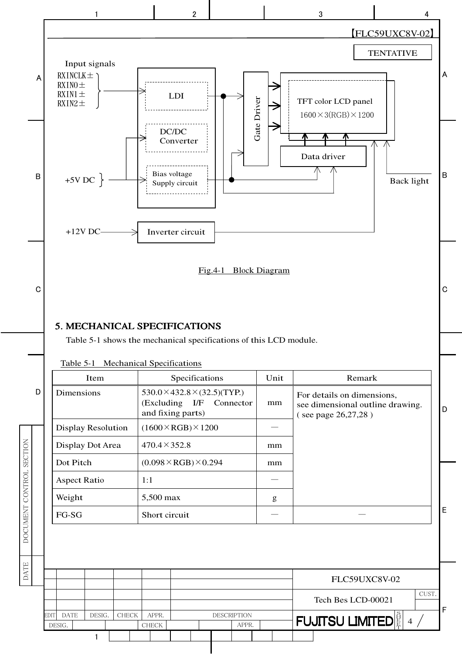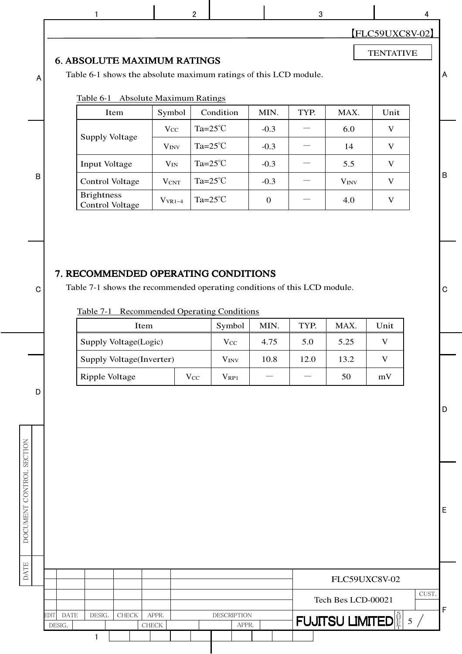|             |                               |                                                                  |                                 |                                                   |                  |      |                        | <b>FLC59UXC8V-02</b> |       |
|-------------|-------------------------------|------------------------------------------------------------------|---------------------------------|---------------------------------------------------|------------------|------|------------------------|----------------------|-------|
|             |                               | <b>6. ABSOLUTE MAXIMUM RATINGS</b>                               |                                 |                                                   |                  |      |                        | <b>TENTATIVE</b>     |       |
| A           |                               | Table 6-1 shows the absolute maximum ratings of this LCD module. |                                 |                                                   |                  |      |                        |                      |       |
|             |                               | Table 6-1                                                        | <b>Absolute Maximum Ratings</b> |                                                   |                  |      |                        |                      |       |
|             |                               | Item                                                             | Symbol                          | Condition                                         | MIN.             | TYP. | MAX.                   | Unit                 |       |
|             |                               | Supply Voltage                                                   | $V_{CC}$                        | Ta= $25^{\circ}$ C                                | $-0.3$           |      | 6.0                    | $\mathbf{V}$         |       |
|             |                               |                                                                  | $V_{INV}$                       | Ta= $25^{\circ}$ C                                | $-0.3$           |      | 14                     | $\mathbf{V}$         |       |
|             |                               | <b>Input Voltage</b>                                             | $V_{IN}$                        | Ta= $25^{\circ}$ C                                | $-0.3$           |      | 5.5                    | V                    |       |
| $\mathsf B$ |                               | <b>Control Voltage</b>                                           | <b>VCNT</b>                     | Ta= $25^{\circ}$ C                                | $-0.3$           |      | <b>VINV</b>            | $\mathbf{V}$         |       |
|             |                               | <b>Brightness</b><br><b>Control Voltage</b>                      | $V_{VR1-4}$                     | Ta= $25^{\circ}$ C                                | $\boldsymbol{0}$ |      | 4.0                    | $\mathbf{V}$         |       |
|             |                               | Table 7-1<br>Item                                                |                                 | <b>Recommended Operating Conditions</b><br>Symbol | MIN.             | TYP. | MAX.                   | Unit                 |       |
|             |                               |                                                                  |                                 |                                                   |                  |      |                        |                      |       |
|             |                               |                                                                  |                                 |                                                   | 4.75             | 5.0  | 5.25                   |                      |       |
|             |                               | Supply Voltage(Logic)                                            |                                 | $V_{CC}$                                          |                  |      |                        | V                    |       |
|             |                               | Supply Voltage(Inverter)                                         |                                 | <b>V<sub>INV</sub></b>                            | 10.8             | 12.0 | 13.2                   | $\mathbf V$          |       |
| D           |                               | Ripple Voltage                                                   |                                 | <b>Vcc</b><br>$V_{RP1}$                           |                  |      | 50                     | mV                   |       |
|             |                               |                                                                  |                                 |                                                   |                  |      |                        |                      |       |
|             |                               |                                                                  |                                 |                                                   |                  |      |                        |                      |       |
|             |                               |                                                                  |                                 |                                                   |                  |      |                        | FLC59UXC8V-02        |       |
|             |                               |                                                                  |                                 |                                                   |                  |      | Tech Bes LCD-00021     |                      | CUST. |
|             | <b>DATE</b><br>EDIT<br>DESIG. | DESIG.<br>CHECK                                                  | APPR.<br><b>CHECK</b>           | <b>DESCRIPTION</b><br>APPR.                       |                  |      | <b>FUJITSU LIMITED</b> |                      | 5/    |

 $\begin{array}{ccccccccccccccccc}\n1 & 1 & 1 & 2 & 2 & 3 & 3 & 4\n\end{array}$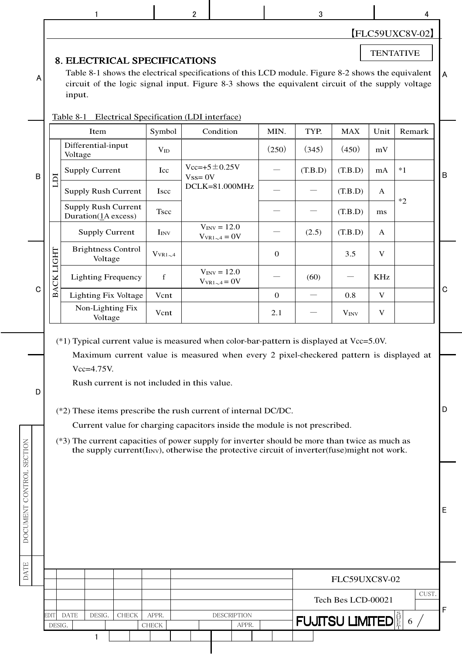|                                                                                                                                                                                                                                                                                                                                                                    |                | 1                                                                                                                                                                                                                                                                                                                                                                                                                                                                                                                                                                                                                         |                       | $\overline{2}$ |                                          |              | 3                           |                    |              | 4      |             |  |  |
|--------------------------------------------------------------------------------------------------------------------------------------------------------------------------------------------------------------------------------------------------------------------------------------------------------------------------------------------------------------------|----------------|---------------------------------------------------------------------------------------------------------------------------------------------------------------------------------------------------------------------------------------------------------------------------------------------------------------------------------------------------------------------------------------------------------------------------------------------------------------------------------------------------------------------------------------------------------------------------------------------------------------------------|-----------------------|----------------|------------------------------------------|--------------|-----------------------------|--------------------|--------------|--------|-------------|--|--|
| $[FLC59UXC8V-02]$<br><b>TENTATIVE</b><br><b>8. ELECTRICAL SPECIFICATIONS</b><br>Table 8-1 shows the electrical specifications of this LCD module. Figure 8-2 shows the equivalent<br>A<br>Α<br>circuit of the logic signal input. Figure 8-3 shows the equivalent circuit of the supply voltage<br>input.<br>Electrical Specification (LDI interface)<br>Table 8-1 |                |                                                                                                                                                                                                                                                                                                                                                                                                                                                                                                                                                                                                                           |                       |                |                                          |              |                             |                    |              |        |             |  |  |
|                                                                                                                                                                                                                                                                                                                                                                    |                | Item                                                                                                                                                                                                                                                                                                                                                                                                                                                                                                                                                                                                                      | Symbol                |                | Condition                                | MIN.         | TYP.                        | <b>MAX</b>         | Unit         | Remark |             |  |  |
|                                                                                                                                                                                                                                                                                                                                                                    |                | Differential-input<br>Voltage                                                                                                                                                                                                                                                                                                                                                                                                                                                                                                                                                                                             | $V_{ID}$              |                |                                          | (250)        | (345)                       | (450)              | mV           |        |             |  |  |
| $\sf B$                                                                                                                                                                                                                                                                                                                                                            |                | <b>Supply Current</b>                                                                                                                                                                                                                                                                                                                                                                                                                                                                                                                                                                                                     | Icc                   |                | $Vec=+5 \pm 0.25V$                       |              | (T.B.D)                     | (T.B.D)            | mA           | $*1$   | $\mathsf B$ |  |  |
|                                                                                                                                                                                                                                                                                                                                                                    | ICLI           | <b>Supply Rush Current</b>                                                                                                                                                                                                                                                                                                                                                                                                                                                                                                                                                                                                | <b>Iscc</b>           | $Vss = 0V$     | DCLK=81.000MHz                           |              |                             | (T.B.D)            | $\mathbf{A}$ |        |             |  |  |
|                                                                                                                                                                                                                                                                                                                                                                    |                | <b>Supply Rush Current</b><br>Duration(1A excess)                                                                                                                                                                                                                                                                                                                                                                                                                                                                                                                                                                         | <b>Tscc</b>           |                |                                          |              |                             | (T.B.D)            | ms           | $*2$   |             |  |  |
|                                                                                                                                                                                                                                                                                                                                                                    |                | <b>Supply Current</b>                                                                                                                                                                                                                                                                                                                                                                                                                                                                                                                                                                                                     | I <sub>INV</sub>      |                | $V_{INV} = 12.0$<br>$V_{VR1\sim 4} = 0V$ |              | (2.5)                       | (T.B.D)            | A            |        |             |  |  |
|                                                                                                                                                                                                                                                                                                                                                                    |                | <b>Brightness Control</b><br>Voltage                                                                                                                                                                                                                                                                                                                                                                                                                                                                                                                                                                                      | $V_{VR1\sim 4}$       |                |                                          | $\mathbf{0}$ |                             | 3.5                | V            |        |             |  |  |
|                                                                                                                                                                                                                                                                                                                                                                    | ACK LIGHT      | <b>Lighting Frequency</b>                                                                                                                                                                                                                                                                                                                                                                                                                                                                                                                                                                                                 | f                     |                | $V_{\text{INV}} = 12.0$                  |              | (60)                        |                    | <b>KHz</b>   |        |             |  |  |
| C                                                                                                                                                                                                                                                                                                                                                                  | മ്             | <b>Lighting Fix Voltage</b>                                                                                                                                                                                                                                                                                                                                                                                                                                                                                                                                                                                               | Vcnt                  |                | $V_{VR1\sim 4} = 0V$                     | $\mathbf{0}$ |                             | 0.8                | V            |        | $\mathbf C$ |  |  |
|                                                                                                                                                                                                                                                                                                                                                                    |                | Non-Lighting Fix<br>Voltage                                                                                                                                                                                                                                                                                                                                                                                                                                                                                                                                                                                               | Vcnt                  |                |                                          | 2.1          |                             | $V_{INV}$          | $\mathbf V$  |        |             |  |  |
| D<br>DOCUMENT CONTROL SECTION                                                                                                                                                                                                                                                                                                                                      |                | $(*1)$ Typical current value is measured when color-bar-pattern is displayed at Vcc=5.0V.<br>Maximum current value is measured when every 2 pixel-checkered pattern is displayed at<br>$Vcc=4.75V$ .<br>Rush current is not included in this value.<br>(*2) These items prescribe the rush current of internal DC/DC.<br>Current value for charging capacitors inside the module is not prescribed.<br>(*3) The current capacities of power supply for inverter should be more than twice as much as<br>the supply current( $\text{Inv}$ ), otherwise the protective circuit of inverter( $\text{fuse}$ ) might not work. |                       |                |                                          |              |                             |                    |              |        | D           |  |  |
| <b>DATE</b>                                                                                                                                                                                                                                                                                                                                                        |                |                                                                                                                                                                                                                                                                                                                                                                                                                                                                                                                                                                                                                           |                       |                |                                          |              |                             | FLC59UXC8V-02      |              |        | Е           |  |  |
|                                                                                                                                                                                                                                                                                                                                                                    |                |                                                                                                                                                                                                                                                                                                                                                                                                                                                                                                                                                                                                                           |                       |                |                                          |              |                             | Tech Bes LCD-00021 |              | CUST.  |             |  |  |
|                                                                                                                                                                                                                                                                                                                                                                    | EDIT<br>DESIG. | <b>DATE</b><br>DESIG.<br>CHECK                                                                                                                                                                                                                                                                                                                                                                                                                                                                                                                                                                                            | APPR.<br><b>CHECK</b> |                | DESCRIPTION<br>APPR.                     |              | <b>FUJITSU LIMITEDE</b> 6 / |                    |              |        | F           |  |  |
|                                                                                                                                                                                                                                                                                                                                                                    |                | 1                                                                                                                                                                                                                                                                                                                                                                                                                                                                                                                                                                                                                         |                       |                |                                          |              |                             |                    |              |        |             |  |  |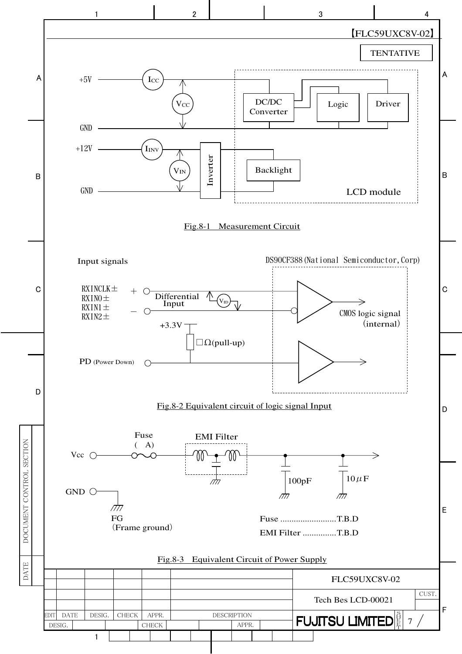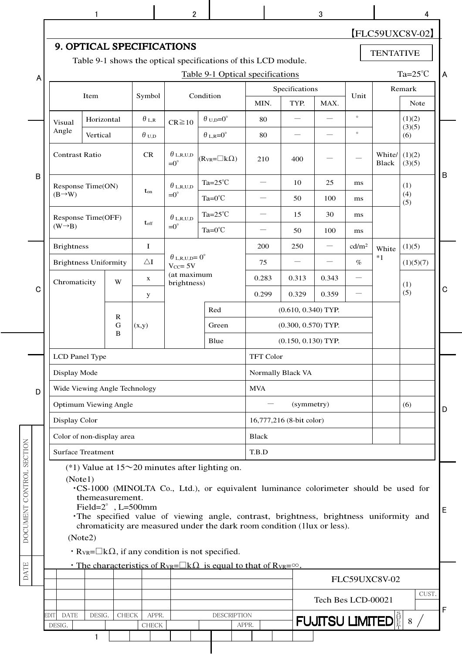|                          |                               |             |                 |                              |                                                          |                                                                                                                                                                                                                                                                                                                   |                  |                          |                               |                   |                  | $[FLC59UXC8V-02]$            |
|--------------------------|-------------------------------|-------------|-----------------|------------------------------|----------------------------------------------------------|-------------------------------------------------------------------------------------------------------------------------------------------------------------------------------------------------------------------------------------------------------------------------------------------------------------------|------------------|--------------------------|-------------------------------|-------------------|------------------|------------------------------|
|                          |                               |             |                 | 9. OPTICAL SPECIFICATIONS    |                                                          |                                                                                                                                                                                                                                                                                                                   |                  |                          |                               |                   | <b>TENTATIVE</b> |                              |
|                          |                               |             |                 |                              |                                                          | Table 9-1 shows the optical specifications of this LCD module.                                                                                                                                                                                                                                                    |                  |                          |                               |                   |                  |                              |
| A                        |                               |             |                 |                              |                                                          | Table 9-1 Optical specifications                                                                                                                                                                                                                                                                                  |                  | Specifications           |                               |                   |                  | Ta= $25^{\circ}$ C<br>Remark |
|                          |                               | Item        |                 | Symbol                       |                                                          | Condition                                                                                                                                                                                                                                                                                                         | MIN.             | TYP.                     | MAX.                          | Unit              |                  | Note                         |
|                          | Visual                        | Horizontal  |                 | $\theta$ L,R                 | $CR \ge 10$                                              | $\theta$ <sub>U,D</sub> =0 <sup>°</sup>                                                                                                                                                                                                                                                                           | 80               |                          | $\overline{\phantom{0}}$      | $^\circ$          |                  | (1)(2)<br>(3)(5)             |
|                          | Angle                         | Vertical    |                 | $\theta$ u,d                 |                                                          | $\theta$ L,R= $0^{\circ}$                                                                                                                                                                                                                                                                                         | 80               |                          |                               | $\circ$           |                  | (6)                          |
|                          | <b>Contrast Ratio</b>         |             |                 | CR                           | $\theta$ l,r,u,d<br>$=0^{\circ}$                         | $(R_{VR} = \Box k\Omega)$                                                                                                                                                                                                                                                                                         | 210              | 400                      |                               |                   | White/<br>Black  | (1)(2)<br>(3)(5)             |
| $\sf B$                  | Response Time(ON)             |             |                 |                              | $\theta$ l,r,u,d                                         | Ta= $25^{\circ}$ C                                                                                                                                                                                                                                                                                                |                  | 10                       | 25                            | ms                |                  | (1)                          |
|                          | $(B\rightarrow W)$            |             |                 | $t_{on}$                     | $=0^{\circ}$                                             | $Ta=0^{\circ}C$                                                                                                                                                                                                                                                                                                   |                  | 50                       | 100                           | ms                |                  | (4)<br>(5)                   |
|                          | Response Time(OFF)            |             |                 |                              | $\theta$ l,r,u,d                                         | Ta= $25^{\circ}$ C                                                                                                                                                                                                                                                                                                |                  | 15                       | 30                            | ms                |                  |                              |
|                          | $(W \rightarrow B)$           |             |                 | t <sub>off</sub>             | $=0^{\circ}$                                             | Ta= $0^{\circ}$ C                                                                                                                                                                                                                                                                                                 |                  | 50                       | 100                           | ms                |                  |                              |
|                          | <b>Brightness</b>             |             |                 | $\bf{I}$                     |                                                          |                                                                                                                                                                                                                                                                                                                   | 200              | 250                      | $\overbrace{\phantom{12333}}$ | cd/m <sup>2</sup> | White            | (1)(5)                       |
|                          | <b>Brightness Uniformity</b>  |             |                 | $\Delta I$                   | $\theta$ <sub>L,R,U,D</sub> = $0^\circ$<br>$V_{CC} = 5V$ |                                                                                                                                                                                                                                                                                                                   | 75               |                          |                               | $\%$              | $*1$             | (1)(5)(7)                    |
|                          | Chromaticity                  |             | W               | $\mathbf{x}$                 | (at maximum<br>brightness)                               |                                                                                                                                                                                                                                                                                                                   | 0.283            | 0.313                    | 0.343                         |                   |                  | (1)                          |
| $\mathbf C$              |                               |             |                 | y                            |                                                          |                                                                                                                                                                                                                                                                                                                   | 0.299            | 0.329                    | 0.359                         |                   |                  | (5)                          |
|                          |                               | $\mathbf R$ |                 |                              |                                                          | Red                                                                                                                                                                                                                                                                                                               |                  | $(0.610, 0.340)$ TYP.    |                               |                   |                  |                              |
|                          |                               |             | G<br>B          | (x,y)                        |                                                          | Green                                                                                                                                                                                                                                                                                                             |                  | $(0.300, 0.570)$ TYP.    |                               |                   |                  |                              |
|                          |                               |             |                 |                              |                                                          | Blue                                                                                                                                                                                                                                                                                                              |                  | $(0.150, 0.130)$ TYP.    |                               |                   |                  |                              |
|                          | LCD Panel Type                |             |                 |                              |                                                          |                                                                                                                                                                                                                                                                                                                   | <b>TFT Color</b> |                          |                               |                   |                  |                              |
|                          | Display Mode                  |             |                 |                              |                                                          |                                                                                                                                                                                                                                                                                                                   |                  | Normally Black VA        |                               |                   |                  |                              |
| D                        | Wide Viewing Angle Technology |             |                 |                              |                                                          |                                                                                                                                                                                                                                                                                                                   | <b>MVA</b>       |                          |                               |                   |                  |                              |
|                          | <b>Optimum Viewing Angle</b>  |             |                 |                              |                                                          |                                                                                                                                                                                                                                                                                                                   |                  | (symmetry)               |                               |                   |                  | (6)                          |
|                          | Display Color                 |             |                 |                              |                                                          |                                                                                                                                                                                                                                                                                                                   |                  | 16,777,216 (8-bit color) |                               |                   |                  |                              |
|                          | Color of non-display area     |             |                 |                              |                                                          |                                                                                                                                                                                                                                                                                                                   | Black            |                          |                               |                   |                  |                              |
|                          | <b>Surface Treatment</b>      |             |                 |                              |                                                          |                                                                                                                                                                                                                                                                                                                   | T.B.D            |                          |                               |                   |                  |                              |
| DOCUMENT CONTROL SECTION | (Note1)                       | (Note2)     | themeasurement. | Field= $2^{\circ}$ , L=500mm |                                                          | (*1) Value at $15 \sim 20$ minutes after lighting on.<br>.CS-1000 (MINOLTA Co., Ltd.), or equivalent luminance colorimeter should be used for<br>The specified value of viewing angle, contrast, brightness, brightness uniformity and<br>chromaticity are measured under the dark room condition (1lux or less). |                  |                          |                               |                   |                  |                              |
|                          |                               |             |                 |                              |                                                          | $\cdot$ R <sub>VR</sub> = $\Box$ k $\Omega$ , if any condition is not specified.<br>• The characteristics of R <sub>VR</sub> = $\Box$ k $\Omega$ is equal to that of R <sub>VR</sub> = $\infty$ .                                                                                                                 |                  |                          |                               |                   |                  |                              |
| <b>DATE</b>              |                               |             |                 |                              |                                                          |                                                                                                                                                                                                                                                                                                                   |                  |                          |                               | FLC59UXC8V-02     |                  |                              |
|                          |                               |             |                 |                              |                                                          |                                                                                                                                                                                                                                                                                                                   |                  |                          | Tech Bes LCD-00021            |                   |                  | CUST.                        |
|                          | <b>EDIT</b><br><b>DATE</b>    | DESIG.      | CHECK           | APPR.                        |                                                          | <b>DESCRIPTION</b>                                                                                                                                                                                                                                                                                                |                  |                          | <b>FUJITSU LIMITEDE</b> 8 /   |                   |                  |                              |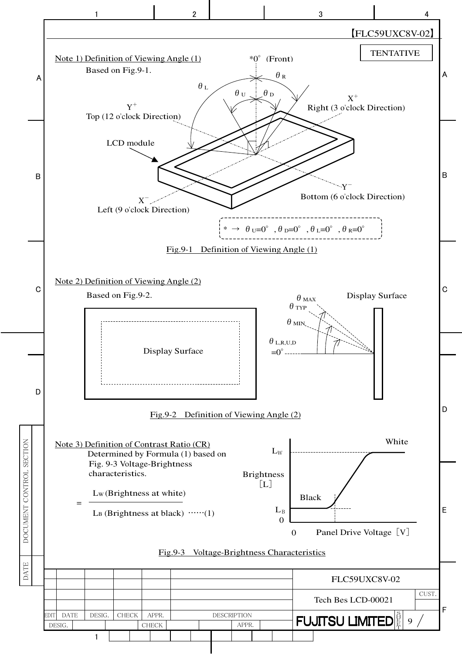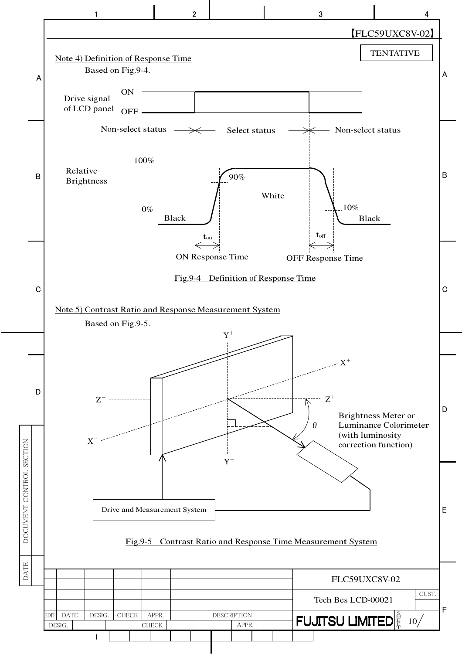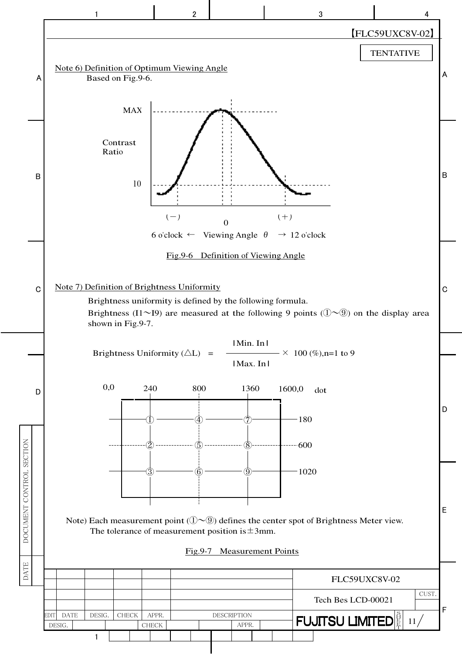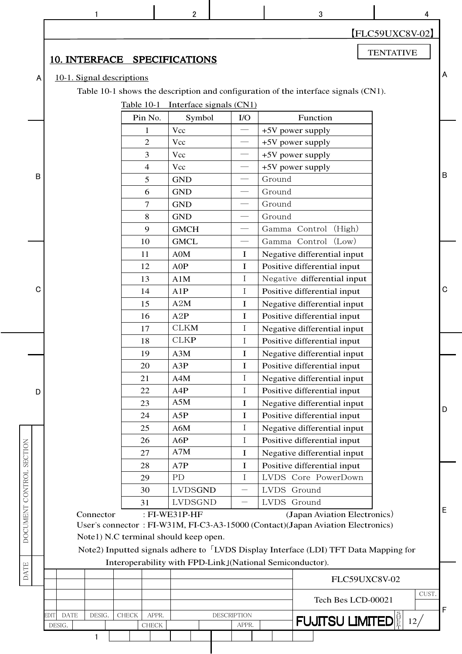|                          |   |      |                           |              |                   |                       | $\overline{2}$                        |  |                             |        | 3                                                                                                                                                            |                  | 4     |   |
|--------------------------|---|------|---------------------------|--------------|-------------------|-----------------------|---------------------------------------|--|-----------------------------|--------|--------------------------------------------------------------------------------------------------------------------------------------------------------------|------------------|-------|---|
|                          |   |      |                           |              |                   |                       |                                       |  |                             |        |                                                                                                                                                              | FLC59UXC8V-02    |       |   |
|                          |   |      |                           |              |                   |                       | 10. INTERFACE SPECIFICATIONS          |  |                             |        |                                                                                                                                                              | <b>TENTATIVE</b> |       |   |
|                          | A |      | 10-1. Signal descriptions |              |                   |                       |                                       |  |                             |        |                                                                                                                                                              |                  |       | А |
|                          |   |      |                           |              |                   |                       |                                       |  |                             |        | Table 10-1 shows the description and configuration of the interface signals (CN1).                                                                           |                  |       |   |
|                          |   |      |                           |              |                   |                       |                                       |  |                             |        |                                                                                                                                                              |                  |       |   |
|                          |   |      |                           |              | <b>Table 10-1</b> |                       | Interface signals (CN1)               |  | I/O                         |        | Function                                                                                                                                                     |                  |       |   |
|                          |   |      |                           |              |                   | Pin No.               | Symbol<br>Vcc                         |  |                             |        |                                                                                                                                                              |                  |       |   |
|                          |   |      |                           |              |                   | 1<br>$\overline{2}$   | Vcc                                   |  |                             |        | +5V power supply<br>+5V power supply                                                                                                                         |                  |       |   |
|                          |   |      |                           |              |                   | 3                     | Vcc                                   |  |                             |        | +5V power supply                                                                                                                                             |                  |       |   |
|                          |   |      |                           |              |                   | 4                     | Vcc                                   |  |                             |        | +5V power supply                                                                                                                                             |                  |       |   |
|                          | в |      |                           |              |                   | 5                     | <b>GND</b>                            |  | $\overline{\phantom{m}}$    | Ground |                                                                                                                                                              |                  |       | B |
|                          |   |      |                           |              |                   | 6                     | <b>GND</b>                            |  |                             | Ground |                                                                                                                                                              |                  |       |   |
|                          |   |      |                           |              |                   | 7                     | <b>GND</b>                            |  |                             | Ground |                                                                                                                                                              |                  |       |   |
|                          |   |      |                           |              |                   | 8                     | <b>GND</b>                            |  | $\overline{\phantom{0}}$    | Ground |                                                                                                                                                              |                  |       |   |
|                          |   |      |                           |              |                   | 9                     | <b>GMCH</b>                           |  |                             |        | Gamma Control (High)                                                                                                                                         |                  |       |   |
|                          |   |      |                           |              |                   | 10                    | <b>GMCL</b>                           |  |                             |        | Gamma Control (Low)                                                                                                                                          |                  |       |   |
|                          |   |      |                           |              |                   | 11                    | A0M                                   |  | $\mathbf I$                 |        | Negative differential input                                                                                                                                  |                  |       |   |
|                          |   |      |                           |              |                   | 12                    | AOP                                   |  | $\mathbf I$                 |        | Positive differential input                                                                                                                                  |                  |       |   |
|                          |   |      |                           |              |                   | 13                    | A1M                                   |  | $\mathbf I$                 |        | Negative differential input                                                                                                                                  |                  |       |   |
|                          | C |      |                           |              |                   | 14                    | A1P                                   |  | $\mathbf I$                 |        | Positive differential input                                                                                                                                  |                  |       | C |
|                          |   |      |                           |              |                   | 15                    | A2M                                   |  | $\mathbf I$                 |        | Negative differential input                                                                                                                                  |                  |       |   |
|                          |   |      |                           |              |                   | 16                    | A2P                                   |  | $\mathbf I$                 |        | Positive differential input                                                                                                                                  |                  |       |   |
|                          |   |      |                           |              |                   | 17                    | <b>CLKM</b>                           |  | $\bf{I}$                    |        | Negative differential input                                                                                                                                  |                  |       |   |
|                          |   |      |                           |              |                   | 18                    | <b>CLKP</b>                           |  | $\mathbf I$                 |        | Positive differential input                                                                                                                                  |                  |       |   |
|                          |   |      |                           |              |                   | 19                    | A3M                                   |  | I                           |        | Negative differential input                                                                                                                                  |                  |       |   |
|                          |   |      |                           |              |                   | 20                    | A3P                                   |  | I                           |        | Positive differential input                                                                                                                                  |                  |       |   |
|                          |   |      |                           |              |                   | 21                    | A4M                                   |  | $\bf{I}$                    |        | Negative differential input                                                                                                                                  |                  |       |   |
|                          | D |      |                           |              |                   | 22                    | A4P                                   |  | $\mathbf I$                 |        | Positive differential input                                                                                                                                  |                  |       |   |
|                          |   |      |                           |              |                   | 23                    | A5M                                   |  | I                           |        | Negative differential input                                                                                                                                  |                  |       | D |
|                          |   |      |                           |              |                   | 24                    | A5P                                   |  | I                           |        | Positive differential input                                                                                                                                  |                  |       |   |
|                          |   |      |                           |              |                   | 25                    | A6M                                   |  | $\mathbf I$                 |        | Negative differential input                                                                                                                                  |                  |       |   |
|                          |   |      |                           |              |                   | 26                    | A6P                                   |  | $\bf{I}$                    |        | Positive differential input                                                                                                                                  |                  |       |   |
|                          |   |      |                           |              |                   | 27                    | A7M                                   |  | I                           |        | Negative differential input                                                                                                                                  |                  |       |   |
|                          |   |      |                           |              |                   | 28                    | A7P                                   |  | $\mathbf I$                 |        | Positive differential input                                                                                                                                  |                  |       |   |
|                          |   |      |                           |              |                   | 29                    | PD                                    |  | $\bf{I}$                    |        | LVDS Core PowerDown                                                                                                                                          |                  |       |   |
|                          |   |      |                           |              |                   | 30                    | <b>LVDSGND</b>                        |  | $\overline{\phantom{0}}$    |        | LVDS Ground                                                                                                                                                  |                  |       |   |
| DOCUMENT CONTROL SECTION |   |      |                           |              |                   | 31                    | <b>LVDSGND</b>                        |  | $\overline{\phantom{0}}$    |        | LVDS Ground                                                                                                                                                  |                  |       | Ε |
|                          |   |      |                           | Connector    |                   |                       | : FI-WE31P-HF                         |  |                             |        | (Japan Aviation Electronics)                                                                                                                                 |                  |       |   |
|                          |   |      |                           |              |                   |                       | Note1) N.C terminal should keep open. |  |                             |        | User's connector: FI-W31M, FI-C3-A3-15000 (Contact) (Japan Aviation Electronics)                                                                             |                  |       |   |
|                          |   |      |                           |              |                   |                       |                                       |  |                             |        |                                                                                                                                                              |                  |       |   |
|                          |   |      |                           |              |                   |                       |                                       |  |                             |        | Note2) Inputted signals adhere to <sup>[LVDS</sup> Display Interface (LDI) TFT Data Mapping for<br>Interoperability with FPD-Link J(National Semiconductor). |                  |       |   |
| <b>DATE</b>              |   |      |                           |              |                   |                       |                                       |  |                             |        |                                                                                                                                                              |                  |       |   |
|                          |   |      |                           |              |                   |                       |                                       |  |                             |        |                                                                                                                                                              | FLC59UXC8V-02    |       |   |
|                          |   |      |                           |              |                   |                       |                                       |  |                             |        | Tech Bes LCD-00021                                                                                                                                           |                  | CUST. |   |
|                          |   |      |                           |              |                   |                       |                                       |  |                             |        |                                                                                                                                                              |                  |       | F |
|                          |   | EDIT | <b>DATE</b><br>DESIG.     | DESIG.       | <b>CHECK</b>      | APPR.<br><b>CHECK</b> |                                       |  | <b>DESCRIPTION</b><br>APPR. |        | <b>FUJITSU LIMITED</b>                                                                                                                                       |                  | 12/   |   |
|                          |   |      |                           | $\mathbf{1}$ |                   |                       |                                       |  |                             |        |                                                                                                                                                              |                  |       |   |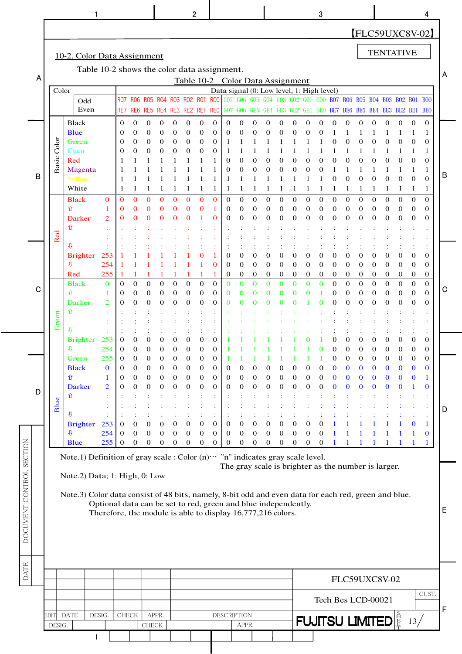|                  |                |                                                                                                                                       |                                                                                                                               |                                          |                                                              |                                                                    |                                                              |                                                                   | 2                                                               |                                                                       |                                                                            |                                                        |                                                                           |                                                           |                                                  |                                                                                                          |                                                                              |                                                                           | 3                                                          |                                                                                |                                                                                   |                                                                                 |                                                            |                                                            |                                                  |                                           | 4                                                                                |   |
|------------------|----------------|---------------------------------------------------------------------------------------------------------------------------------------|-------------------------------------------------------------------------------------------------------------------------------|------------------------------------------|--------------------------------------------------------------|--------------------------------------------------------------------|--------------------------------------------------------------|-------------------------------------------------------------------|-----------------------------------------------------------------|-----------------------------------------------------------------------|----------------------------------------------------------------------------|--------------------------------------------------------|---------------------------------------------------------------------------|-----------------------------------------------------------|--------------------------------------------------|----------------------------------------------------------------------------------------------------------|------------------------------------------------------------------------------|---------------------------------------------------------------------------|------------------------------------------------------------|--------------------------------------------------------------------------------|-----------------------------------------------------------------------------------|---------------------------------------------------------------------------------|------------------------------------------------------------|------------------------------------------------------------|--------------------------------------------------|-------------------------------------------|----------------------------------------------------------------------------------|---|
|                  |                |                                                                                                                                       |                                                                                                                               |                                          |                                                              |                                                                    |                                                              |                                                                   |                                                                 |                                                                       |                                                                            |                                                        |                                                                           |                                                           |                                                  |                                                                                                          |                                                                              |                                                                           |                                                            |                                                                                |                                                                                   |                                                                                 |                                                            | <b>TENTATIVE</b>                                           |                                                  |                                           | [FLC59UXC8V-02]                                                                  |   |
| A                |                | 10-2. Color Data Assignment<br>Table 10-2 shows the color data assignment.<br>Color<br>Odd                                            |                                                                                                                               | RO7                                      | R <sub>06</sub>                                              | <b>RO5</b>                                                         | <b>RO4</b>                                                   |                                                                   | R03 R02 R01                                                     |                                                                       | <b>ROO</b>                                                                 | G07                                                    |                                                                           |                                                           |                                                  | Table 10-2 Color Data Assignment<br>Data signal (0: Low level, 1: High level)<br>G06 G05 G04 G03 G02 G01 |                                                                              |                                                                           | <b>GOO</b>                                                 |                                                                                |                                                                                   |                                                                                 |                                                            | B07 B06 B05 B04 B03 B02                                    |                                                  | <b>BO1</b>                                | <b>BOO</b>                                                                       | A |
|                  |                | Even<br>Black                                                                                                                         |                                                                                                                               | RE7<br>0                                 | $\theta$                                                     | 0                                                                  | 0                                                            | $\overline{0}$                                                    | RE6 RE5 RE4 RE3 RE2 RE1<br>$\mathbf{0}$                         | $\mathbf{0}$                                                          | <b>REO</b><br>0                                                            | $\mathbf 0$                                            | $\overline{0}$                                                            | $\boldsymbol{0}$                                          | 0                                                | GO7 GO6 GE5 GE4 GE3 GE2 GE1<br>$\boldsymbol{0}$                                                          | $\theta$                                                                     | $\mathbf 0$                                                               | GEO<br>$\mathbf 0$                                         | $\mathbf{0}$                                                                   | $\boldsymbol{0}$                                                                  | $\boldsymbol{0}$                                                                | $\Omega$                                                   | BE7 BE6 BE5 BE4 BE3 BE2 BE1 BE0<br>0                       | $\mathbf{0}$                                     | $\mathbf 0$                               | $\mathbf{0}$                                                                     |   |
| B                | Color<br>Basic | Blue<br>Green<br>Cyan<br>Red<br>Magenta<br>Yellow<br>White<br><b>Black</b>                                                            | $\mathbf{0}$                                                                                                                  | 0<br>0<br>0<br>1<br>$\mathbf{0}$         | $\overline{0}$<br>0<br>$\overline{0}$<br>1<br>$\overline{0}$ | $\mathbf{0}$<br>0<br>$\boldsymbol{0}$<br>1<br>$\mathbf{0}$         | $\mathbf{0}$<br>0<br>0<br>1<br>$\mathbf{0}$                  | $\overline{0}$<br>$\boldsymbol{0}$<br>0<br>1<br>$\mathbf{0}$      | $\mathbf{0}$<br>0<br>$\mathbf 0$<br>1<br>$\mathbf{0}$           | $\mathbf{0}$<br>$\boldsymbol{0}$<br>$\boldsymbol{0}$<br>1<br>$\bf{0}$ | 0<br>0<br>0<br>1<br>$\mathbf{0}$                                           | $\mathbf{0}$<br>1<br>1<br>0<br>0<br>1<br>1<br>$\theta$ | $\overline{0}$<br>$\boldsymbol{0}$<br>$\overline{0}$<br>1<br>$\mathbf{0}$ | 0<br>$\boldsymbol{0}$<br>$\boldsymbol{0}$<br>$\mathbf{0}$ | 0<br>0<br>0<br>1<br>$\boldsymbol{0}$             | 0<br>$\boldsymbol{0}$<br>$\boldsymbol{0}$<br>1<br>$\mathbf{0}$                                           | $\overline{0}$<br>1<br>$\boldsymbol{0}$<br>$\boldsymbol{0}$<br>1<br>$\theta$ | $\mathbf{0}$<br>1<br>1<br>$\mathbf 0$<br>$\mathbf 0$<br>1<br>$\mathbf{0}$ | $\mathbf 0$<br>1<br>$\mathbf{0}$<br>0<br>1<br>$\mathbf{0}$ | -1<br>$\mathbf 0$<br>1<br>$\mathbf 0$<br>1<br>$\mathbf 0$<br>1<br>$\mathbf{0}$ | $\boldsymbol{0}$<br>$\boldsymbol{0}$<br>$\boldsymbol{0}$<br>1<br>$\boldsymbol{0}$ | $\boldsymbol{0}$<br>$\boldsymbol{0}$<br>$\boldsymbol{0}$<br>1<br>$\overline{0}$ | 0<br>$\overline{0}$<br>$\overline{0}$<br>1<br>$\mathbf{0}$ | 0<br>$\overline{0}$<br>$\overline{0}$<br>1<br>$\mathbf{0}$ | 0<br>0<br>$\mathbf{0}$<br>1<br>$\mathbf{0}$      | 0<br>0<br>$\Omega$<br>1<br>$\overline{0}$ | 1<br>$\mathbf{0}$<br>1<br>$\mathbf{0}$<br>1<br>$\mathbf{0}$<br>1<br>$\mathbf{0}$ |   |
|                  | Red            | ⇧<br>Darker<br>⇧                                                                                                                      | 1<br>$\overline{2}$                                                                                                           | 0<br>0                                   | 0<br>0                                                       | $\bf{0}$<br>$\bf{0}$                                               | 0<br>0                                                       | 0                                                                 | 0                                                               | $\bf{0}$                                                              | 0                                                                          | $\boldsymbol{0}$<br>$\overline{0}$                     | $\mathbf 0$<br>$\overline{0}$                                             | 0<br>$\boldsymbol{0}$                                     | 0<br>0                                           | $\boldsymbol{0}$<br>$\boldsymbol{0}$                                                                     | $\boldsymbol{0}$<br>$\boldsymbol{0}$                                         | $\mathbf 0$<br>$\mathbf 0$                                                | 0<br>0                                                     | 0<br>$\mathbf 0$                                                               | 0<br>$\boldsymbol{0}$                                                             | $\boldsymbol{0}$<br>$\boldsymbol{0}$                                            | $\boldsymbol{0}$<br>$\mathbf 0$                            | 0<br>$\boldsymbol{0}$                                      | 0<br>0                                           | $\theta$<br>$\theta$                      | $\mathbf{0}$<br>$\mathbf{0}$                                                     |   |
|                  |                | ⇩<br><b>Brighter</b><br>ſJ.<br>Red                                                                                                    | 253<br>254<br>255                                                                                                             |                                          |                                                              |                                                                    |                                                              |                                                                   |                                                                 |                                                                       | 0<br>1                                                                     | $\overline{0}$<br>$\boldsymbol{0}$<br>$\mathbf{0}$     | $\overline{0}$<br>$\theta$<br>$\boldsymbol{0}$                            | 0<br>0<br>$\boldsymbol{0}$                                | 0<br>0<br>0                                      | $\boldsymbol{0}$<br>$\mathbf 0$<br>$\mathbf{0}$                                                          | $\mathbf 0$<br>$\mathbf 0$<br>0                                              | $\mathbf 0$<br>$\mathbf 0$<br>$\mathbf{0}$                                | 0<br>0<br>0                                                | $\mathbf{0}$<br>$\mathbf{0}$<br>$\boldsymbol{0}$                               | 0<br>0<br>$\mathbf 0$                                                             | $\boldsymbol{0}$<br>0<br>$\boldsymbol{0}$                                       | 0<br>0<br>$\mathbf 0$                                      | 0<br>0<br>$\mathbf 0$                                      | 0<br>0<br>$\boldsymbol{0}$                       | 0<br>$\boldsymbol{0}$<br>$\mathbf 0$      | $\mathbf 0$<br>$\mathbf 0$<br>$\boldsymbol{0}$                                   |   |
| C                | Green          | <b>Black</b><br>介<br>Darker<br>⇧<br>升                                                                                                 | $\mathbf{0}$<br>1<br>$\overline{2}$                                                                                           | $\mathbf{0}$<br>0<br>0                   | $\mathbf{0}$<br>0<br>0                                       | $\overline{0}$<br>0<br>$\mathbf{0}$                                | $\theta$<br>0<br>$\mathbf{0}$                                | $\overline{0}$<br>$\boldsymbol{0}$<br>$\overline{0}$              | $\mathbf{0}$<br>$\mathbf 0$<br>$\theta$                         | $\boldsymbol{0}$<br>$\mathbf 0$<br>$\mathbf 0$                        | $\overline{0}$<br>0<br>0                                                   | $\mathbf{0}$<br>0<br>0                                 | $\overline{0}$<br>0<br>0                                                  | $\overline{0}$<br>0                                       | $\overline{0}$                                   | $\mathbf{0}$<br>$\bf{0}$<br>0                                                                            | $\mathbf{0}$<br>$\bf{0}$<br>$\Omega$                                         | $\mathbf{0}$<br>$\bf{0}$                                                  | $\bf{0}$<br>$\bf{0}$                                       | $\mathbf{0}$<br>$\mathbf 0$<br>$\mathbf 0$                                     | $\overline{0}$<br>0<br>0                                                          | $\overline{0}$<br>$\boldsymbol{0}$<br>$\boldsymbol{0}$                          | $\overline{0}$<br>$\boldsymbol{0}$<br>0                    | $\overline{0}$<br>$\mathbf 0$<br>$\boldsymbol{0}$          | $\mathbf{0}$<br>0<br>0                           | $\theta$<br>$\theta$<br>0                 | $\mathbf{0}$<br>$\mathbf{0}$<br>$\mathbf 0$                                      |   |
|                  |                | <b>Brighter</b><br>л                                                                                                                  | 253<br>254                                                                                                                    | 0<br>0                                   | 0<br>$\theta$                                                | 0<br>$\Omega$                                                      | 0<br>0                                                       | 0<br>$\Omega$                                                     | 0<br>$\Omega$                                                   | 0<br>$\mathbf{0}$                                                     | 0<br>0                                                                     |                                                        |                                                                           |                                                           |                                                  |                                                                                                          |                                                                              | 0                                                                         | 0                                                          | $\mathbf{0}$<br>$\theta$                                                       | 0<br>$\overline{0}$                                                               | 0<br>$\Omega$                                                                   | 0<br>$\Omega$                                              | 0<br>$\Omega$                                              | 0<br>$\Omega$                                    | 0<br>$\Omega$                             | $\mathbf{0}$<br>0                                                                |   |
| D                | Blue           | Green<br><b>Black</b><br>⇧<br><b>Darker</b><br>⇧<br>₽                                                                                 | 255<br>$\bf{0}$<br>1<br>$\overline{2}$                                                                                        | $\overline{0}$<br>$\mathbf{0}$<br>0<br>0 | $\mathbf 0$<br>$\mathbf{0}$<br>0<br>0                        | $\boldsymbol{0}$<br>$\overline{0}$<br>$\mathbf{0}$<br>$\mathbf{0}$ | $\mathbf{0}$<br>$\theta$<br>$\mathbf{0}$<br>$\boldsymbol{0}$ | $\mathbf 0$<br>$\overline{0}$<br>$\boldsymbol{0}$<br>$\mathbf{0}$ | $\boldsymbol{0}$<br>$\mathbf{0}$<br>$\mathbf 0$<br>$\mathbf{0}$ | $\boldsymbol{0}$<br>$\theta$<br>$\boldsymbol{0}$<br>$\boldsymbol{0}$  | $\boldsymbol{0}$<br>$\overline{0}$<br>$\boldsymbol{0}$<br>$\boldsymbol{0}$ | $\mathbf{0}$<br>$\mathbf{0}$<br>$\mathbf{0}$           | $\overline{0}$<br>$\mathbf{0}$<br>$\boldsymbol{0}$                        | $\mathbf{0}$<br>$\boldsymbol{0}$<br>$\boldsymbol{0}$      | $\overline{0}$<br>0<br>$\boldsymbol{0}$          | $\theta$<br>$\boldsymbol{0}$<br>$\boldsymbol{0}$                                                         | $\theta$<br>$\mathbf{0}$<br>$\mathbf{0}$                                     | $\mathbf{0}$<br>$\boldsymbol{0}$<br>$\mathbf{0}$                          | $\boldsymbol{0}$<br>$\boldsymbol{0}$<br>$\mathbf{0}$       | $\mathbf{0}$<br>$\mathbf{0}$<br>$\bf{0}$<br>$\bf{0}$                           | $\boldsymbol{0}$<br>$\mathbf{0}$<br>$\bf{0}$<br>$\bf{0}$                          | $\mathbf 0$<br>$\Omega$<br>$\bf{0}$<br>$\bf{0}$                                 | $\mathbf{0}$<br>$\Omega$<br>$\bf{0}$<br>$\bf{0}$           | $\mathbf 0$<br>$\mathbf 0$<br>$\bf{0}$<br>$\bf{0}$         | $\mathbf{0}$<br>$\Omega$<br>$\bf{0}$<br>$\Omega$ | 0<br>$\Omega$<br>0                        | $\mathbf 0$<br>$\bf{0}$<br>$\mathbf{1}$<br>$\bf{0}$                              |   |
|                  |                | <b>Brighter</b><br>₽<br>Blue                                                                                                          | 253<br>254<br>255                                                                                                             | 0<br>0<br>0                              | $\mathbf{0}$<br>$\mathbf 0$<br>$\boldsymbol{0}$              | $\boldsymbol{0}$<br>$\mathbf{0}$<br>$\boldsymbol{0}$               | $\boldsymbol{0}$<br>$\mathbf{0}$<br>$\mathbf{0}$             | $\mathbf{0}$<br>$\boldsymbol{0}$<br>$\boldsymbol{0}$              | $\boldsymbol{0}$<br>$\boldsymbol{0}$<br>$\boldsymbol{0}$        | $\boldsymbol{0}$<br>$\boldsymbol{0}$<br>$\mathbf{0}$                  | $\boldsymbol{0}$<br>0<br>$\boldsymbol{0}$                                  | $\boldsymbol{0}$<br>$\mathbf{0}$<br>$\boldsymbol{0}$   | $\boldsymbol{0}$<br>$\mathbf{0}$<br>$\mathbf{0}$                          | $\boldsymbol{0}$<br>$\boldsymbol{0}$<br>$\mathbf{0}$      | $\boldsymbol{0}$<br>$\mathbf{0}$<br>$\mathbf{0}$ | $\boldsymbol{0}$<br>$\boldsymbol{0}$<br>$\mathbf{0}$                                                     | $\boldsymbol{0}$<br>$\mathbf{0}$<br>$\boldsymbol{0}$                         | $\boldsymbol{0}$<br>$\boldsymbol{0}$<br>$\boldsymbol{0}$                  | $\boldsymbol{0}$<br>$\mathbf{0}$<br>$\mathbf{0}$           | $\mathbf{1}$<br>$\mathbf{1}$<br>$\mathbf{1}$                                   | 1                                                                                 |                                                                                 | $\mathbf{1}$                                               |                                                            |                                                  | 0<br>1                                    | $\mathbf 1$<br>$\bf{0}$<br>1                                                     |   |
| SECTION          |                | Note.1) Definition of gray scale : Color $(n)$ " "n" indicates gray scale level.                                                      |                                                                                                                               |                                          |                                                              |                                                                    |                                                              |                                                                   |                                                                 |                                                                       |                                                                            |                                                        |                                                                           |                                                           |                                                  | The gray scale is brighter as the number is larger.                                                      |                                                                              |                                                                           |                                                            |                                                                                |                                                                                   |                                                                                 |                                                            |                                                            |                                                  |                                           |                                                                                  |   |
| DOCUMENT CONTROL |                | Note.2) Data; 1: High, 0: Low<br>Note.3) Color data consist of 48 bits, namely, 8-bit odd and even data for each red, green and blue. | Optional data can be set to red, green and blue independently.<br>Therefore, the module is able to display 16,777,216 colors. |                                          |                                                              |                                                                    |                                                              |                                                                   |                                                                 |                                                                       |                                                                            |                                                        |                                                                           |                                                           |                                                  |                                                                                                          |                                                                              |                                                                           |                                                            |                                                                                |                                                                                   |                                                                                 |                                                            |                                                            |                                                  |                                           |                                                                                  |   |
| DATE             |                |                                                                                                                                       |                                                                                                                               |                                          |                                                              |                                                                    |                                                              |                                                                   |                                                                 |                                                                       |                                                                            |                                                        |                                                                           |                                                           |                                                  |                                                                                                          |                                                                              |                                                                           |                                                            |                                                                                |                                                                                   |                                                                                 |                                                            |                                                            |                                                  |                                           |                                                                                  |   |
|                  |                |                                                                                                                                       |                                                                                                                               |                                          |                                                              |                                                                    |                                                              |                                                                   |                                                                 |                                                                       |                                                                            |                                                        |                                                                           |                                                           |                                                  |                                                                                                          |                                                                              |                                                                           | Tech Bes LCD-00021                                         |                                                                                |                                                                                   |                                                                                 |                                                            | FLC59UXC8V-02                                              |                                                  |                                           | CUST.                                                                            |   |
|                  | <b>EDIT</b>    | <b>DATE</b>                                                                                                                           | DESIG.                                                                                                                        |                                          | CHECK                                                        | APPR.                                                              |                                                              |                                                                   |                                                                 |                                                                       |                                                                            | <b>DESCRIPTION</b>                                     |                                                                           |                                                           |                                                  |                                                                                                          |                                                                              |                                                                           | <b>FUJITSU LIMITED</b>                                     |                                                                                |                                                                                   |                                                                                 |                                                            |                                                            |                                                  | 13/                                       |                                                                                  |   |
|                  | DESIG.         |                                                                                                                                       | 1                                                                                                                             |                                          |                                                              | <b>CHECK</b>                                                       |                                                              |                                                                   |                                                                 |                                                                       |                                                                            |                                                        | APPR.                                                                     |                                                           |                                                  |                                                                                                          |                                                                              |                                                                           |                                                            |                                                                                |                                                                                   |                                                                                 |                                                            |                                                            |                                                  |                                           |                                                                                  |   |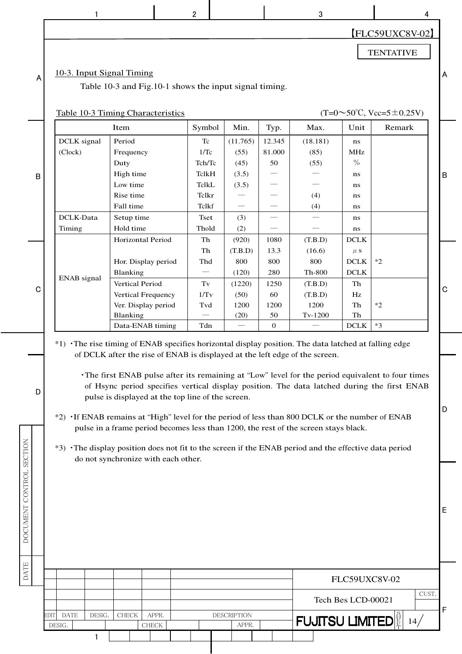|                          | 1                                                                                                    |                                                                                                                                                                                                                                                                               |       | 2                                             |  |                                   |                                              |                        | 3                                     |                                                 |                                                  | 4     |             |
|--------------------------|------------------------------------------------------------------------------------------------------|-------------------------------------------------------------------------------------------------------------------------------------------------------------------------------------------------------------------------------------------------------------------------------|-------|-----------------------------------------------|--|-----------------------------------|----------------------------------------------|------------------------|---------------------------------------|-------------------------------------------------|--------------------------------------------------|-------|-------------|
|                          |                                                                                                      |                                                                                                                                                                                                                                                                               |       |                                               |  |                                   |                                              |                        |                                       |                                                 | [FLC59UXC8V-02]                                  |       |             |
|                          |                                                                                                      |                                                                                                                                                                                                                                                                               |       |                                               |  |                                   |                                              |                        |                                       |                                                 | <b>TENTATIVE</b>                                 |       |             |
| A                        | 10-3. Input Signal Timing                                                                            | Table 10-3 and Fig.10-1 shows the input signal timing.                                                                                                                                                                                                                        |       |                                               |  |                                   |                                              |                        |                                       |                                                 |                                                  |       | A           |
|                          | <b>Table 10-3 Timing Characteristics</b>                                                             |                                                                                                                                                                                                                                                                               |       |                                               |  |                                   |                                              |                        |                                       |                                                 | $(T=0.50^{\circ}C, \text{Vcc}=5\pm0.25\text{V})$ |       |             |
|                          |                                                                                                      | Item                                                                                                                                                                                                                                                                          |       | Symbol                                        |  | Min.                              | Typ.                                         |                        | Max.                                  | Unit                                            | Remark                                           |       |             |
| B                        | DCLK signal<br>(Clock)                                                                               | Period<br>Frequency<br>Duty<br>High time                                                                                                                                                                                                                                      |       | Tc<br>1/Tc<br>Tch/Tc<br>TclkH                 |  | (11.765)<br>(55)<br>(45)<br>(3.5) | 12.345<br>81.000<br>50                       |                        | (18.181)<br>(85)<br>(55)              | ns<br><b>MHz</b><br>$\frac{0}{0}$<br>ns         |                                                  |       | $\mathsf B$ |
|                          | DCLK-Data                                                                                            | Low time<br>Rise time<br>Fall time<br>Setup time                                                                                                                                                                                                                              |       | <b>TclkL</b><br>Tclkr<br>Tclkf<br><b>Tset</b> |  | (3.5)                             |                                              |                        | (4)<br>(4)                            | ns<br>ns<br>ns                                  |                                                  |       |             |
|                          | Timing                                                                                               | Hold time                                                                                                                                                                                                                                                                     |       | Thold                                         |  | (3)<br>(2)                        |                                              |                        |                                       | ns<br>ns                                        |                                                  |       |             |
|                          |                                                                                                      | Horizontal Period<br>Hor. Display period<br>Blanking                                                                                                                                                                                                                          |       | Th<br>Th<br>Thd                               |  | (920)<br>(T.B.D)<br>800<br>(120)  | 1080<br>13.3<br>800<br>280                   |                        | (T.B.D)<br>(16.6)<br>800<br>Th-800    | <b>DCLK</b><br>$\mu$ s<br>$DCLK$<br><b>DCLK</b> | $*2$                                             |       |             |
| $\mathbf C$              | ENAB signal                                                                                          | Vertical Period<br>Vertical Frequency<br>Ver. Display period<br>Blanking<br>Data-ENAB timing                                                                                                                                                                                  |       | $\operatorname{Tv}$<br>1/Tv<br>Tvd<br>Tdn     |  | (1220)<br>(50)<br>1200<br>(20)    | 1250<br>60<br>1200<br>50<br>$\boldsymbol{0}$ |                        | (T.B.D)<br>(T.B.D)<br>1200<br>Tv-1200 | Th<br>Hz<br>Th<br>${\rm Th}$<br>$DCLK$          | $*2$<br>$*3$                                     |       | C           |
|                          | *1) The rise timing of ENAB specifies horizontal display position. The data latched at falling edge  | of DCLK after the rise of ENAB is displayed at the left edge of the screen.<br>The first ENAB pulse after its remaining at "Low" level for the period equivalent to four times<br>of Hsync period specifies vertical display position. The data latched during the first ENAB |       |                                               |  |                                   |                                              |                        |                                       |                                                 |                                                  |       |             |
| D                        | *2) If ENAB remains at "High" level for the period of less than 800 DCLK or the number of ENAB       | pulse is displayed at the top line of the screen.<br>pulse in a frame period becomes less than 1200, the rest of the screen stays black.                                                                                                                                      |       |                                               |  |                                   |                                              |                        |                                       |                                                 |                                                  |       | D           |
| DOCUMENT CONTROL SECTION | *3) The display position does not fit to the screen if the ENAB period and the effective data period | do not synchronize with each other.                                                                                                                                                                                                                                           |       |                                               |  |                                   |                                              |                        |                                       |                                                 |                                                  |       |             |
|                          |                                                                                                      |                                                                                                                                                                                                                                                                               |       |                                               |  |                                   |                                              |                        |                                       |                                                 |                                                  |       | Е           |
| <b>DATE</b>              |                                                                                                      |                                                                                                                                                                                                                                                                               |       |                                               |  |                                   |                                              |                        |                                       | FLC59UXC8V-02                                   |                                                  |       |             |
|                          |                                                                                                      |                                                                                                                                                                                                                                                                               |       |                                               |  |                                   |                                              |                        |                                       | Tech Bes LCD-00021                              |                                                  | CUST. |             |
|                          | EDIT<br><b>DATE</b><br>DESIG.<br>DESIG.                                                              | <b>CHECK</b><br>CHECK                                                                                                                                                                                                                                                         | APPR. |                                               |  | <b>DESCRIPTION</b><br>APPR.       |                                              |                        |                                       |                                                 |                                                  | 14/   | F           |
|                          |                                                                                                      |                                                                                                                                                                                                                                                                               |       |                                               |  |                                   |                                              | <b>FUJITSU LIMITED</b> |                                       |                                                 |                                                  |       |             |

D

B

E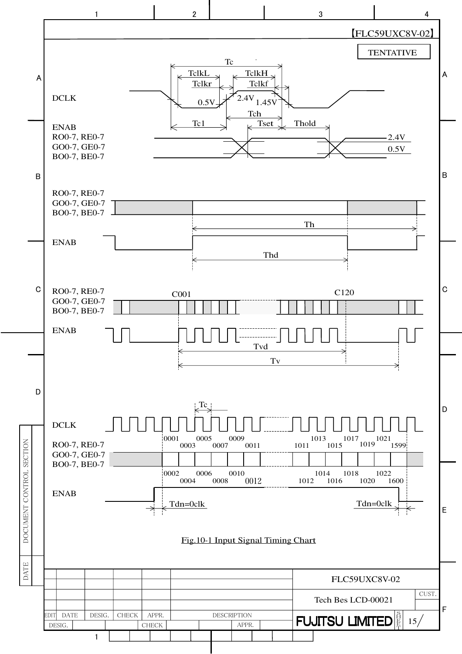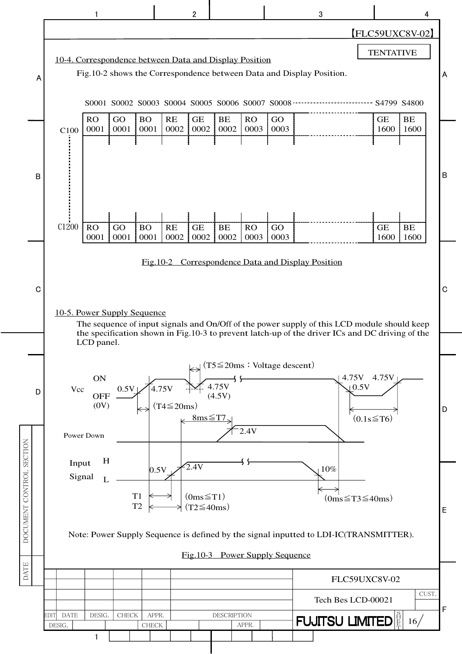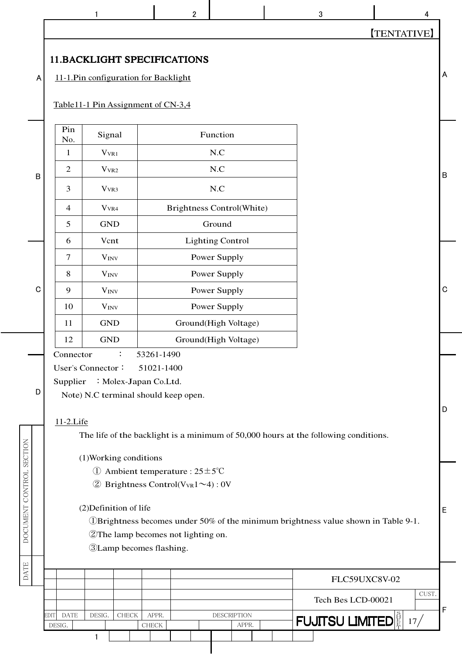【TENTATIVE】

#### 11.BACKLIGHT SPECIFICATIONS

11-1.Pin configuration for Backlight

Table11-1 Pin Assignment of CN-3,4

|   | Pin<br>No.     | Signal           | Function                         |  |
|---|----------------|------------------|----------------------------------|--|
|   | 1              | $V_{VR1}$        | N.C                              |  |
| B | $\overline{2}$ | V <sub>VR2</sub> | N.C                              |  |
|   | 3              | V <sub>VR3</sub> | N.C                              |  |
|   | $\overline{4}$ | $V_{VR4}$        | <b>Brightness Control(White)</b> |  |
|   | 5              | <b>GND</b>       | Ground                           |  |
|   | 6              | Vcnt             | <b>Lighting Control</b>          |  |
|   | $\tau$         | $V_{INV}$        | Power Supply                     |  |
|   | 8              | $V_{INV}$        | Power Supply                     |  |
| C | 9              | $V_{INV}$        | Power Supply                     |  |
|   | 10             | $V_{INV}$        | Power Supply                     |  |
|   | 11             | <b>GND</b>       | Ground(High Voltage)             |  |
|   | 12             | <b>GND</b>       | Ground(High Voltage)             |  |
|   |                |                  |                                  |  |

Connector : 53261-1490

User's Connector: 51021-1400

Supplier : Molex-Japan Co.Ltd.

Note) N.C terminal should keep open.

#### 11-2.Life

D

DOCUMENT CONTROL SECTION

A

B

The life of the backlight is a minimum of 50,000 hours at the following conditions.

- ① Ambient temperature : 25±5℃
- $\textcircled{2}$  Brightness Control(V<sub>VR</sub>1~4) : 0V

| SECTION                    |                       |             |        |                        | (1) Working conditions                                                                                                         |  |                             |  | The me of the outwight is a minimum of $50,000$ froms at the following conditions.    |   |
|----------------------------|-----------------------|-------------|--------|------------------------|--------------------------------------------------------------------------------------------------------------------------------|--|-----------------------------|--|---------------------------------------------------------------------------------------|---|
| CONTROL<br><b>DOCUMENT</b> |                       |             |        | (2) Definition of life | Ambient temperature : $25 \pm 5^{\circ}$ C<br>Brightness Control( $V_{VR}1 \sim 4$ ): 0V<br>2The lamp becomes not lighting on. |  |                             |  | (1) UBrightness becomes under 50% of the minimum brightness value shown in Table 9-1. | E |
|                            |                       |             |        |                        | <b>3</b> Lamp becomes flashing.                                                                                                |  |                             |  |                                                                                       |   |
| <b>DATE</b>                |                       |             |        |                        |                                                                                                                                |  |                             |  | FLC59UXC8V-02                                                                         |   |
|                            |                       |             |        |                        |                                                                                                                                |  |                             |  | CUST.<br>Tech Bes LCD-00021                                                           | E |
|                            | <b>EDIT</b><br>DESIG. | <b>DATE</b> | DESIG. | <b>CHECK</b>           | APPR.<br>CHECK                                                                                                                 |  | <b>DESCRIPTION</b><br>APPR. |  | <b>FUJITSU LIMITED</b><br>17 <sub>l</sub>                                             |   |
|                            |                       |             |        |                        |                                                                                                                                |  |                             |  |                                                                                       |   |

 $\begin{array}{ccccccccccccccccc}\n1 & 1 & 1 & 2 & 2 & 3 & 3 & 4\n\end{array}$ 

D

B

A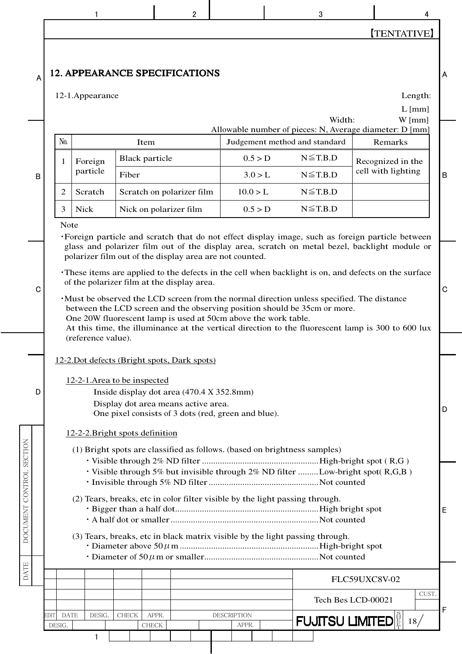|                          |                      | 1                                                                                                                                                     |                                | $\overline{2}$                                                                             |                    |  | 3                                | 4                                                                                                                                                                                                 |             |  |  |  |  |  |
|--------------------------|----------------------|-------------------------------------------------------------------------------------------------------------------------------------------------------|--------------------------------|--------------------------------------------------------------------------------------------|--------------------|--|----------------------------------|---------------------------------------------------------------------------------------------------------------------------------------------------------------------------------------------------|-------------|--|--|--|--|--|
|                          |                      |                                                                                                                                                       |                                |                                                                                            |                    |  |                                  | <b>TENTATIVE</b>                                                                                                                                                                                  |             |  |  |  |  |  |
| Α                        |                      | 12-1.Appearance                                                                                                                                       |                                | <b>12. APPEARANCE SPECIFICATIONS</b>                                                       |                    |  |                                  | Length:<br>$L$ [mm]                                                                                                                                                                               | A           |  |  |  |  |  |
|                          |                      |                                                                                                                                                       |                                |                                                                                            |                    |  | Width:                           | $W$ [mm]<br>Allowable number of pieces: N, Average diameter: D [mm]                                                                                                                               |             |  |  |  |  |  |
|                          | No.                  |                                                                                                                                                       | Item                           |                                                                                            |                    |  | Judgement method and standard    | Remarks                                                                                                                                                                                           |             |  |  |  |  |  |
|                          | 1                    | Foreign<br>particle                                                                                                                                   | <b>Black particle</b><br>Fiber |                                                                                            | 0.5 > D<br>3.0 > L |  | $N \leq T.B.D$<br>$N \leq T.B.D$ | Recognized in the<br>cell with lighting                                                                                                                                                           |             |  |  |  |  |  |
| B                        | $\overline{2}$       | Scratch                                                                                                                                               |                                | Scratch on polarizer film                                                                  | 10.0 > L           |  | $N \leq T.B.D$                   |                                                                                                                                                                                                   | $\mathsf B$ |  |  |  |  |  |
|                          | 3                    | <b>Nick</b>                                                                                                                                           |                                | Nick on polarizer film                                                                     | 0.5 > D            |  | $N \leq T.B.D$                   |                                                                                                                                                                                                   |             |  |  |  |  |  |
|                          | Note                 |                                                                                                                                                       |                                |                                                                                            |                    |  |                                  |                                                                                                                                                                                                   |             |  |  |  |  |  |
|                          |                      |                                                                                                                                                       |                                |                                                                                            |                    |  |                                  | ·Foreign particle and scratch that do not effect display image, such as foreign particle between<br>glass and polarizer film out of the display area, scratch on metal bezel, backlight module or |             |  |  |  |  |  |
|                          |                      |                                                                                                                                                       |                                | polarizer film out of the display area are not counted.                                    |                    |  |                                  |                                                                                                                                                                                                   |             |  |  |  |  |  |
|                          |                      |                                                                                                                                                       |                                |                                                                                            |                    |  |                                  | These items are applied to the defects in the cell when backlight is on, and defects on the surface                                                                                               |             |  |  |  |  |  |
| C                        |                      | of the polarizer film at the display area.<br>$\mathbf C$<br>Must be observed the LCD screen from the normal direction unless specified. The distance |                                |                                                                                            |                    |  |                                  |                                                                                                                                                                                                   |             |  |  |  |  |  |
|                          |                      | between the LCD screen and the observing position should be 35cm or more.<br>One 20W fluorescent lamp is used at 50cm above the work table.           |                                |                                                                                            |                    |  |                                  |                                                                                                                                                                                                   |             |  |  |  |  |  |
|                          |                      | (reference value).                                                                                                                                    |                                |                                                                                            |                    |  |                                  | At this time, the illuminance at the vertical direction to the fluorescent lamp is 300 to 600 lux                                                                                                 |             |  |  |  |  |  |
|                          |                      |                                                                                                                                                       |                                |                                                                                            |                    |  |                                  |                                                                                                                                                                                                   |             |  |  |  |  |  |
|                          |                      |                                                                                                                                                       |                                | 12-2. Dot defects (Bright spots, Dark spots)                                               |                    |  |                                  |                                                                                                                                                                                                   |             |  |  |  |  |  |
| D                        |                      | 12-2-1. Area to be inspected                                                                                                                          |                                | Inside display dot area (470.4 X 352.8mm)                                                  |                    |  |                                  |                                                                                                                                                                                                   |             |  |  |  |  |  |
|                          |                      |                                                                                                                                                       |                                | Display dot area means active area.<br>One pixel consists of 3 dots (red, green and blue). |                    |  |                                  |                                                                                                                                                                                                   | D           |  |  |  |  |  |
|                          |                      |                                                                                                                                                       |                                |                                                                                            |                    |  |                                  |                                                                                                                                                                                                   |             |  |  |  |  |  |
|                          |                      | 12-2-2. Bright spots definition                                                                                                                       |                                | (1) Bright spots are classified as follows. (based on brightness samples)                  |                    |  |                                  |                                                                                                                                                                                                   |             |  |  |  |  |  |
|                          |                      |                                                                                                                                                       |                                |                                                                                            |                    |  |                                  |                                                                                                                                                                                                   |             |  |  |  |  |  |
|                          |                      |                                                                                                                                                       |                                |                                                                                            |                    |  |                                  | · Visible through 5% but invisible through 2% ND filter  Low-bright spot(R,G,B)                                                                                                                   |             |  |  |  |  |  |
| DOCUMENT CONTROL SECTION |                      |                                                                                                                                                       |                                | (2) Tears, breaks, etc in color filter visible by the light passing through.               |                    |  |                                  |                                                                                                                                                                                                   |             |  |  |  |  |  |
|                          |                      |                                                                                                                                                       |                                |                                                                                            |                    |  |                                  |                                                                                                                                                                                                   | E           |  |  |  |  |  |
|                          |                      |                                                                                                                                                       |                                | (3) Tears, breaks, etc in black matrix visible by the light passing through.               |                    |  |                                  |                                                                                                                                                                                                   |             |  |  |  |  |  |
|                          |                      |                                                                                                                                                       |                                |                                                                                            |                    |  |                                  |                                                                                                                                                                                                   |             |  |  |  |  |  |
| <b>DATE</b>              |                      |                                                                                                                                                       |                                |                                                                                            |                    |  |                                  | FLC59UXC8V-02                                                                                                                                                                                     |             |  |  |  |  |  |
|                          |                      |                                                                                                                                                       |                                |                                                                                            |                    |  |                                  | CUST.<br>Tech Bes LCD-00021                                                                                                                                                                       |             |  |  |  |  |  |
|                          | EDITI<br><b>DATE</b> | DESIG.                                                                                                                                                | <b>CHECK</b>                   | APPR.                                                                                      | <b>DESCRIPTION</b> |  |                                  |                                                                                                                                                                                                   | F           |  |  |  |  |  |
|                          | DESIG.               |                                                                                                                                                       |                                | <b>CHECK</b>                                                                               | APPR.              |  | <b>FUJITSU LIMITED</b>           | 18/                                                                                                                                                                                               |             |  |  |  |  |  |
|                          |                      | 1                                                                                                                                                     |                                |                                                                                            |                    |  |                                  |                                                                                                                                                                                                   |             |  |  |  |  |  |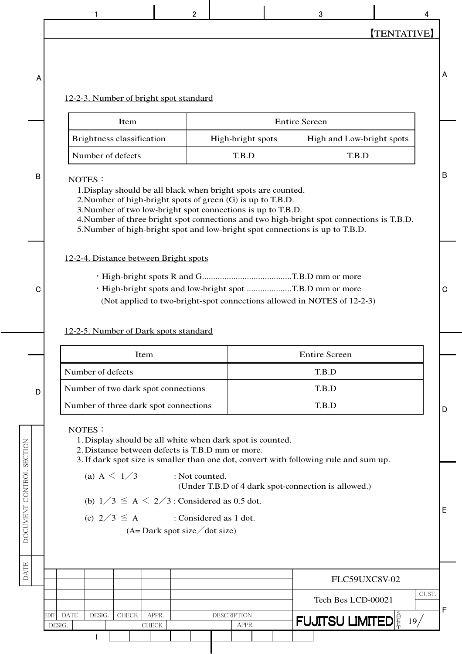3

4

A

B

 $\mathbf C$ 

D

DOCUMENT CONTROL SECTION

#### 12-2-3. Number of bright spot standard

| Item                      | <b>Entire Screen</b> |                           |  |  |  |  |  |
|---------------------------|----------------------|---------------------------|--|--|--|--|--|
| Brightness classification | High-bright spots    | High and Low-bright spots |  |  |  |  |  |
| Number of defects         | T R D                | TR D                      |  |  |  |  |  |

#### NOTES:

 $\mathbf{1}$ 

1. Display should be all black when bright spots are counted.

2. Number of high-bright spots of green (G) is up to T.B.D.

3. Number of two low-bright spot connections is up to T.B.D.

4. Number of three bright spot connections and two high-bright spot connections is T.B.D.

5. Number of high-bright spot and low-bright spot connections is up to T.B.D.

#### 12-2-4. Distance between Bright spots

- 
- · High-bright spots and low-bright spot .....................T.B.D mm or more
	- (Not applied to two-bright-spot connections allowed in NOTES of 12-2-3)

#### 12-2-5. Number of Dark spots standard

| Item                                  | <b>Entire Screen</b> |   |
|---------------------------------------|----------------------|---|
| Number of defects                     | T.B.D                |   |
| Number of two dark spot connections   | T.B.D                |   |
| Number of three dark spot connections | T.B.D                | D |

#### NOTES:

1. Display should be all white when dark spot is counted.

2. Distance between defects is T.B.D mm or more.

3. If dark spot size is smaller than one dot, convert with following rule and sum up.

(a) A  $\leq 1/3$ : Not counted.

(Under T.B.D of 4 dark spot-connection is allowed.)

(b)  $1/3 \le A \le 2/3$ : Considered as 0.5 dot.

(c)  $2/3 \leq A$ : Considered as 1 dot.

 $(A = Dark spot size / dot size)$ 



B

A

 $\mathbf C$ 

E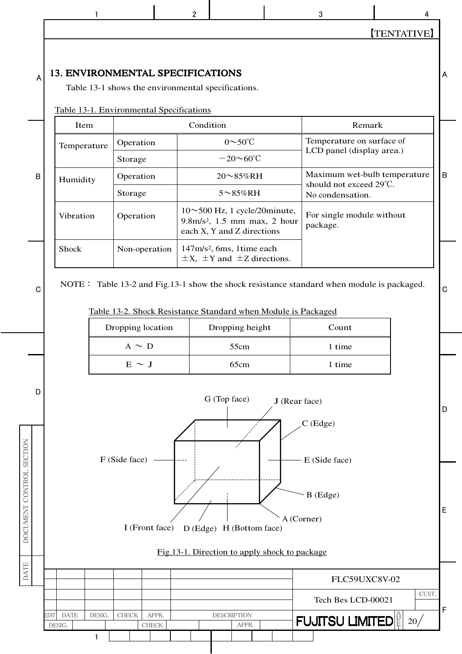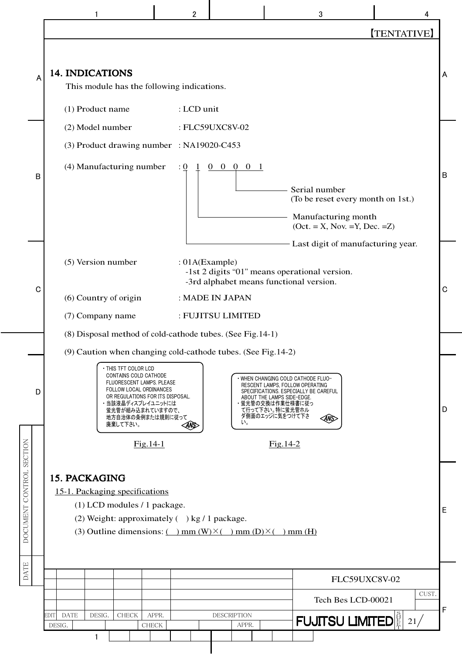|                                                                                                                                                                                                                                                                                                                                                                                                                                                                                                                                                                                                                                                                                                                                                                                                                                                                                                                                                                                                                                                                                                                                                                                                                                                                                                                                                                                                                                                                                                                                                                                                                                                                                                                                                                            | $\overline{2}$ |  | 3 | 4                  |  |  |  |  |
|----------------------------------------------------------------------------------------------------------------------------------------------------------------------------------------------------------------------------------------------------------------------------------------------------------------------------------------------------------------------------------------------------------------------------------------------------------------------------------------------------------------------------------------------------------------------------------------------------------------------------------------------------------------------------------------------------------------------------------------------------------------------------------------------------------------------------------------------------------------------------------------------------------------------------------------------------------------------------------------------------------------------------------------------------------------------------------------------------------------------------------------------------------------------------------------------------------------------------------------------------------------------------------------------------------------------------------------------------------------------------------------------------------------------------------------------------------------------------------------------------------------------------------------------------------------------------------------------------------------------------------------------------------------------------------------------------------------------------------------------------------------------------|----------------|--|---|--------------------|--|--|--|--|
|                                                                                                                                                                                                                                                                                                                                                                                                                                                                                                                                                                                                                                                                                                                                                                                                                                                                                                                                                                                                                                                                                                                                                                                                                                                                                                                                                                                                                                                                                                                                                                                                                                                                                                                                                                            |                |  |   | <b>[TENTATIVE]</b> |  |  |  |  |
| <b>14. INDICATIONS</b><br>Α<br>This module has the following indications.<br>(1) Product name<br>: LCD unit<br>(2) Model number<br>: FLC59UXC8V-02<br>(3) Product drawing number : NA19020-C453<br>(4) Manufacturing number<br>$0\quad 0\quad 0\quad 0$<br>$\cdot \underline{0}$<br>B<br>Serial number<br>(To be reset every month on 1st.)<br>Manufacturing month<br>$(Oct. = X, Nov. =Y, Dec. =Z)$<br>Last digit of manufacturing year.<br>(5) Version number<br>: 01A(Example)<br>-1st 2 digits "01" means operational version.<br>-3rd alphabet means functional version.<br>C<br>(6) Country of origin<br>: MADE IN JAPAN<br>(7) Company name<br>: FUJITSU LIMITED<br>(8) Disposal method of cold-cathode tubes. (See Fig.14-1)<br>(9) Caution when changing cold-cathode tubes. (See Fig. 14-2)<br>THIS TFT COLOR LCD<br>CONTAINS COLD CATHODE<br>· WHEN CHANGING COLD CATHODE FLUO-<br>FLUORESCENT LAMPS. PLEASE<br>RESCENT LAMPS, FOLLOW OPERATING<br>FOLLOW LOCAL ORDINANCES<br>SPECIFICATIONS. ESPECIALLY BE CAREFUL<br>D<br>OR REGULATIONS FOR ITS DISPOSAL.<br>ABOUT THE LAMPS SIDE-EDGE.<br>・当該液晶ディスプレイユニットには<br>・蛍光管の交換は作業仕様書に従っ<br>て行って下さい。特に蛍光管ホル<br>蛍光管が組み込まれていますので、<br>ダ側面のエッジに気をつけて下さ<br>地方自治体の条例または規則に従って<br>ANS><br>い。<br>廃棄して下さい。<br>ANS><br>DOCUMENT CONTROL SECTION<br>$Fig.14-1$<br>$Fig.14-2$<br><b>15. PACKAGING</b><br>15-1. Packaging specifications<br>(1) LCD modules / 1 package.<br>(2) Weight: approximately $( )$ kg / 1 package.<br>(3) Outline dimensions: $(\ )$ mm $(W)$ $\times$ $(\ )$ mm $(D)$ $\times$ $(\ )$ mm $(H)$<br><b>DATE</b><br>FLC59UXC8V-02<br>Tech Bes LCD-00021<br>EDIT<br>DESIG.<br>APPR.<br><b>DESCRIPTION</b><br><b>DATE</b><br>CHECK<br><b>FUJITSU LIMITED</b><br>21/<br>DESIG.<br>${\rm CHECK}$<br>APPR.<br>1 |                |  |   |                    |  |  |  |  |
|                                                                                                                                                                                                                                                                                                                                                                                                                                                                                                                                                                                                                                                                                                                                                                                                                                                                                                                                                                                                                                                                                                                                                                                                                                                                                                                                                                                                                                                                                                                                                                                                                                                                                                                                                                            |                |  |   |                    |  |  |  |  |
|                                                                                                                                                                                                                                                                                                                                                                                                                                                                                                                                                                                                                                                                                                                                                                                                                                                                                                                                                                                                                                                                                                                                                                                                                                                                                                                                                                                                                                                                                                                                                                                                                                                                                                                                                                            |                |  |   |                    |  |  |  |  |
|                                                                                                                                                                                                                                                                                                                                                                                                                                                                                                                                                                                                                                                                                                                                                                                                                                                                                                                                                                                                                                                                                                                                                                                                                                                                                                                                                                                                                                                                                                                                                                                                                                                                                                                                                                            |                |  |   |                    |  |  |  |  |
|                                                                                                                                                                                                                                                                                                                                                                                                                                                                                                                                                                                                                                                                                                                                                                                                                                                                                                                                                                                                                                                                                                                                                                                                                                                                                                                                                                                                                                                                                                                                                                                                                                                                                                                                                                            |                |  |   |                    |  |  |  |  |
|                                                                                                                                                                                                                                                                                                                                                                                                                                                                                                                                                                                                                                                                                                                                                                                                                                                                                                                                                                                                                                                                                                                                                                                                                                                                                                                                                                                                                                                                                                                                                                                                                                                                                                                                                                            |                |  |   |                    |  |  |  |  |
|                                                                                                                                                                                                                                                                                                                                                                                                                                                                                                                                                                                                                                                                                                                                                                                                                                                                                                                                                                                                                                                                                                                                                                                                                                                                                                                                                                                                                                                                                                                                                                                                                                                                                                                                                                            |                |  |   |                    |  |  |  |  |
|                                                                                                                                                                                                                                                                                                                                                                                                                                                                                                                                                                                                                                                                                                                                                                                                                                                                                                                                                                                                                                                                                                                                                                                                                                                                                                                                                                                                                                                                                                                                                                                                                                                                                                                                                                            |                |  |   |                    |  |  |  |  |
|                                                                                                                                                                                                                                                                                                                                                                                                                                                                                                                                                                                                                                                                                                                                                                                                                                                                                                                                                                                                                                                                                                                                                                                                                                                                                                                                                                                                                                                                                                                                                                                                                                                                                                                                                                            |                |  |   |                    |  |  |  |  |
|                                                                                                                                                                                                                                                                                                                                                                                                                                                                                                                                                                                                                                                                                                                                                                                                                                                                                                                                                                                                                                                                                                                                                                                                                                                                                                                                                                                                                                                                                                                                                                                                                                                                                                                                                                            |                |  |   |                    |  |  |  |  |
|                                                                                                                                                                                                                                                                                                                                                                                                                                                                                                                                                                                                                                                                                                                                                                                                                                                                                                                                                                                                                                                                                                                                                                                                                                                                                                                                                                                                                                                                                                                                                                                                                                                                                                                                                                            |                |  |   |                    |  |  |  |  |
|                                                                                                                                                                                                                                                                                                                                                                                                                                                                                                                                                                                                                                                                                                                                                                                                                                                                                                                                                                                                                                                                                                                                                                                                                                                                                                                                                                                                                                                                                                                                                                                                                                                                                                                                                                            |                |  |   |                    |  |  |  |  |
|                                                                                                                                                                                                                                                                                                                                                                                                                                                                                                                                                                                                                                                                                                                                                                                                                                                                                                                                                                                                                                                                                                                                                                                                                                                                                                                                                                                                                                                                                                                                                                                                                                                                                                                                                                            |                |  |   |                    |  |  |  |  |
|                                                                                                                                                                                                                                                                                                                                                                                                                                                                                                                                                                                                                                                                                                                                                                                                                                                                                                                                                                                                                                                                                                                                                                                                                                                                                                                                                                                                                                                                                                                                                                                                                                                                                                                                                                            |                |  |   | CUST.              |  |  |  |  |
|                                                                                                                                                                                                                                                                                                                                                                                                                                                                                                                                                                                                                                                                                                                                                                                                                                                                                                                                                                                                                                                                                                                                                                                                                                                                                                                                                                                                                                                                                                                                                                                                                                                                                                                                                                            |                |  |   |                    |  |  |  |  |
|                                                                                                                                                                                                                                                                                                                                                                                                                                                                                                                                                                                                                                                                                                                                                                                                                                                                                                                                                                                                                                                                                                                                                                                                                                                                                                                                                                                                                                                                                                                                                                                                                                                                                                                                                                            |                |  |   |                    |  |  |  |  |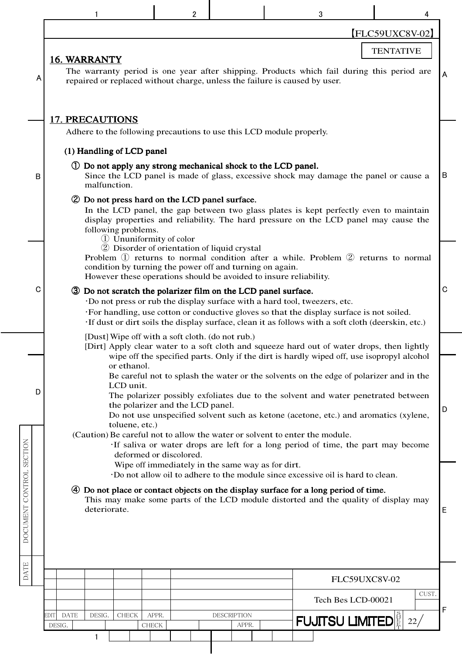|                          |                                                                                                                                                                                                                                                                                                                                                                                                                                                                                                                                                       | 2                                                                                                                                                                            |                      | 3                                                                                                                                                                                                                                                                           |                  |   |  |  |  |  |  |  |  |
|--------------------------|-------------------------------------------------------------------------------------------------------------------------------------------------------------------------------------------------------------------------------------------------------------------------------------------------------------------------------------------------------------------------------------------------------------------------------------------------------------------------------------------------------------------------------------------------------|------------------------------------------------------------------------------------------------------------------------------------------------------------------------------|----------------------|-----------------------------------------------------------------------------------------------------------------------------------------------------------------------------------------------------------------------------------------------------------------------------|------------------|---|--|--|--|--|--|--|--|
|                          |                                                                                                                                                                                                                                                                                                                                                                                                                                                                                                                                                       |                                                                                                                                                                              |                      |                                                                                                                                                                                                                                                                             | [FLC59UXC8V-02]  |   |  |  |  |  |  |  |  |
|                          | <b>16. WARRANTY</b>                                                                                                                                                                                                                                                                                                                                                                                                                                                                                                                                   |                                                                                                                                                                              |                      |                                                                                                                                                                                                                                                                             | <b>TENTATIVE</b> |   |  |  |  |  |  |  |  |
| A                        | The warranty period is one year after shipping. Products which fail during this period are<br>repaired or replaced without charge, unless the failure is caused by user.                                                                                                                                                                                                                                                                                                                                                                              |                                                                                                                                                                              |                      |                                                                                                                                                                                                                                                                             |                  |   |  |  |  |  |  |  |  |
|                          | <b>17. PRECAUTIONS</b>                                                                                                                                                                                                                                                                                                                                                                                                                                                                                                                                |                                                                                                                                                                              |                      |                                                                                                                                                                                                                                                                             |                  |   |  |  |  |  |  |  |  |
|                          | Adhere to the following precautions to use this LCD module properly.                                                                                                                                                                                                                                                                                                                                                                                                                                                                                  |                                                                                                                                                                              |                      |                                                                                                                                                                                                                                                                             |                  |   |  |  |  |  |  |  |  |
|                          | (1) Handling of LCD panel                                                                                                                                                                                                                                                                                                                                                                                                                                                                                                                             |                                                                                                                                                                              |                      |                                                                                                                                                                                                                                                                             |                  |   |  |  |  |  |  |  |  |
| В                        | (1) Do not apply any strong mechanical shock to the LCD panel.<br>Since the LCD panel is made of glass, excessive shock may damage the panel or cause a<br>malfunction.                                                                                                                                                                                                                                                                                                                                                                               |                                                                                                                                                                              |                      |                                                                                                                                                                                                                                                                             |                  |   |  |  |  |  |  |  |  |
|                          | 2 Do not press hard on the LCD panel surface.<br>In the LCD panel, the gap between two glass plates is kept perfectly even to maintain<br>display properties and reliability. The hard pressure on the LCD panel may cause the<br>following problems.<br>1) Ununiformity of color                                                                                                                                                                                                                                                                     |                                                                                                                                                                              |                      |                                                                                                                                                                                                                                                                             |                  |   |  |  |  |  |  |  |  |
|                          |                                                                                                                                                                                                                                                                                                                                                                                                                                                                                                                                                       | 2 Disorder of orientation of liquid crystal<br>condition by turning the power off and turning on again.<br>However these operations should be avoided to insure reliability. |                      | Problem ① returns to normal condition after a while. Problem ② returns to normal                                                                                                                                                                                            |                  |   |  |  |  |  |  |  |  |
| С                        | 3 Do not scratch the polarizer film on the LCD panel surface.                                                                                                                                                                                                                                                                                                                                                                                                                                                                                         |                                                                                                                                                                              |                      | ·Do not press or rub the display surface with a hard tool, tweezers, etc.<br>·For handling, use cotton or conductive gloves so that the display surface is not soiled.<br>If dust or dirt soils the display surface, clean it as follows with a soft cloth (deerskin, etc.) |                  | C |  |  |  |  |  |  |  |
|                          |                                                                                                                                                                                                                                                                                                                                                                                                                                                                                                                                                       | [Dust] Wipe off with a soft cloth. (do not rub.)                                                                                                                             |                      |                                                                                                                                                                                                                                                                             |                  |   |  |  |  |  |  |  |  |
| D                        | [Dirt] Apply clear water to a soft cloth and squeeze hard out of water drops, then lightly<br>wipe off the specified parts. Only if the dirt is hardly wiped off, use isopropyl alcohol<br>or ethanol.<br>Be careful not to splash the water or the solvents on the edge of polarizer and in the<br>LCD unit.<br>The polarizer possibly exfoliates due to the solvent and water penetrated between<br>the polarizer and the LCD panel.<br>D<br>Do not use unspecified solvent such as ketone (acetone, etc.) and aromatics (xylene,<br>toluene, etc.) |                                                                                                                                                                              |                      |                                                                                                                                                                                                                                                                             |                  |   |  |  |  |  |  |  |  |
|                          |                                                                                                                                                                                                                                                                                                                                                                                                                                                                                                                                                       |                                                                                                                                                                              |                      | (Caution) Be careful not to allow the water or solvent to enter the module.<br>If saliva or water drops are left for a long period of time, the part may become                                                                                                             |                  |   |  |  |  |  |  |  |  |
| DOCUMENT CONTROL SECTION | deformed or discolored.<br>Wipe off immediately in the same way as for dirt.<br>Do not allow oil to adhere to the module since excessive oil is hard to clean.<br>4 Do not place or contact objects on the display surface for a long period of time.<br>This may make some parts of the LCD module distorted and the quality of display may<br>deteriorate.<br>E                                                                                                                                                                                     |                                                                                                                                                                              |                      |                                                                                                                                                                                                                                                                             |                  |   |  |  |  |  |  |  |  |
| <b>DATE</b>              |                                                                                                                                                                                                                                                                                                                                                                                                                                                                                                                                                       |                                                                                                                                                                              |                      | FLC59UXC8V-02                                                                                                                                                                                                                                                               |                  |   |  |  |  |  |  |  |  |
|                          |                                                                                                                                                                                                                                                                                                                                                                                                                                                                                                                                                       |                                                                                                                                                                              |                      | Tech Bes LCD-00021                                                                                                                                                                                                                                                          | CUST.            |   |  |  |  |  |  |  |  |
|                          | <b>DATE</b><br>DESIG.<br>EDIT<br><b>CHECK</b><br>DESIG.                                                                                                                                                                                                                                                                                                                                                                                                                                                                                               | APPR.<br><b>CHECK</b>                                                                                                                                                        | DESCRIPTION<br>APPR. | <b>FUJITSU LIMITEDE</b>                                                                                                                                                                                                                                                     | 22/              | F |  |  |  |  |  |  |  |
|                          | 1                                                                                                                                                                                                                                                                                                                                                                                                                                                                                                                                                     |                                                                                                                                                                              |                      |                                                                                                                                                                                                                                                                             |                  |   |  |  |  |  |  |  |  |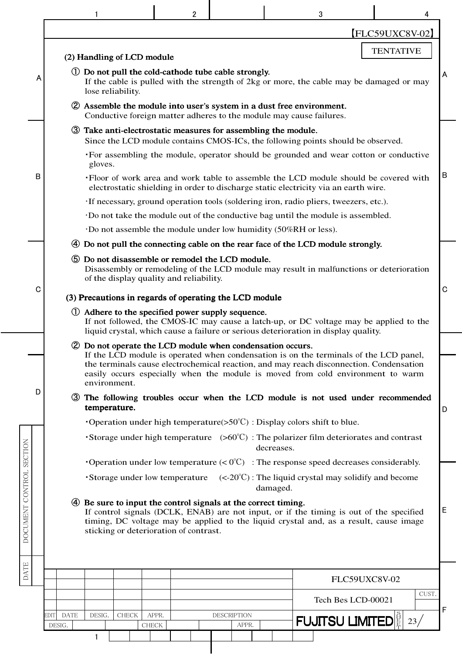|                                                                                                                                                                                                                                                                                                                              |                                                                                                                                                                             |                                                                                                                                                                                                                                                                          |                               | 2 |                                                                                                                                                                                                                                                                                                                                  |            | 3                                                             |                    | 4             |   |  |  |  |  |
|------------------------------------------------------------------------------------------------------------------------------------------------------------------------------------------------------------------------------------------------------------------------------------------------------------------------------|-----------------------------------------------------------------------------------------------------------------------------------------------------------------------------|--------------------------------------------------------------------------------------------------------------------------------------------------------------------------------------------------------------------------------------------------------------------------|-------------------------------|---|----------------------------------------------------------------------------------------------------------------------------------------------------------------------------------------------------------------------------------------------------------------------------------------------------------------------------------|------------|---------------------------------------------------------------|--------------------|---------------|---|--|--|--|--|
|                                                                                                                                                                                                                                                                                                                              |                                                                                                                                                                             |                                                                                                                                                                                                                                                                          |                               |   |                                                                                                                                                                                                                                                                                                                                  |            |                                                               |                    | FLC59UXC8V-02 |   |  |  |  |  |
|                                                                                                                                                                                                                                                                                                                              |                                                                                                                                                                             | <b>TENTATIVE</b><br>(2) Handling of LCD module                                                                                                                                                                                                                           |                               |   |                                                                                                                                                                                                                                                                                                                                  |            |                                                               |                    |               |   |  |  |  |  |
| Α                                                                                                                                                                                                                                                                                                                            |                                                                                                                                                                             | (1) Do not pull the cold-cathode tube cable strongly.<br>A<br>If the cable is pulled with the strength of 2kg or more, the cable may be damaged or may<br>lose reliability.                                                                                              |                               |   |                                                                                                                                                                                                                                                                                                                                  |            |                                                               |                    |               |   |  |  |  |  |
|                                                                                                                                                                                                                                                                                                                              |                                                                                                                                                                             |                                                                                                                                                                                                                                                                          |                               |   | 2 Assemble the module into user's system in a dust free environment.<br>Conductive foreign matter adheres to the module may cause failures.                                                                                                                                                                                      |            |                                                               |                    |               |   |  |  |  |  |
|                                                                                                                                                                                                                                                                                                                              | 3 Take anti-electrostatic measures for assembling the module.<br>Since the LCD module contains CMOS-ICs, the following points should be observed.                           |                                                                                                                                                                                                                                                                          |                               |   |                                                                                                                                                                                                                                                                                                                                  |            |                                                               |                    |               |   |  |  |  |  |
|                                                                                                                                                                                                                                                                                                                              | •For assembling the module, operator should be grounded and wear cotton or conductive<br>gloves.                                                                            |                                                                                                                                                                                                                                                                          |                               |   |                                                                                                                                                                                                                                                                                                                                  |            |                                                               |                    |               |   |  |  |  |  |
| в                                                                                                                                                                                                                                                                                                                            | ·Floor of work area and work table to assemble the LCD module should be covered with<br>electrostatic shielding in order to discharge static electricity via an earth wire. |                                                                                                                                                                                                                                                                          |                               |   |                                                                                                                                                                                                                                                                                                                                  |            |                                                               |                    |               |   |  |  |  |  |
|                                                                                                                                                                                                                                                                                                                              |                                                                                                                                                                             |                                                                                                                                                                                                                                                                          |                               |   | If necessary, ground operation tools (soldering iron, radio pliers, tweezers, etc.).                                                                                                                                                                                                                                             |            |                                                               |                    |               |   |  |  |  |  |
|                                                                                                                                                                                                                                                                                                                              |                                                                                                                                                                             |                                                                                                                                                                                                                                                                          |                               |   | Do not take the module out of the conductive bag until the module is assembled.                                                                                                                                                                                                                                                  |            |                                                               |                    |               |   |  |  |  |  |
|                                                                                                                                                                                                                                                                                                                              |                                                                                                                                                                             |                                                                                                                                                                                                                                                                          |                               |   | Do not assemble the module under low humidity (50%RH or less).                                                                                                                                                                                                                                                                   |            |                                                               |                    |               |   |  |  |  |  |
|                                                                                                                                                                                                                                                                                                                              |                                                                                                                                                                             |                                                                                                                                                                                                                                                                          |                               |   |                                                                                                                                                                                                                                                                                                                                  |            |                                                               |                    |               |   |  |  |  |  |
|                                                                                                                                                                                                                                                                                                                              |                                                                                                                                                                             | 4 Do not pull the connecting cable on the rear face of the LCD module strongly.<br>5 Do not disassemble or remodel the LCD module.<br>Disassembly or remodeling of the LCD module may result in malfunctions or deterioration<br>of the display quality and reliability. |                               |   |                                                                                                                                                                                                                                                                                                                                  |            |                                                               |                    |               |   |  |  |  |  |
| C                                                                                                                                                                                                                                                                                                                            |                                                                                                                                                                             | $\mathbf C$<br>(3) Precautions in regards of operating the LCD module                                                                                                                                                                                                    |                               |   |                                                                                                                                                                                                                                                                                                                                  |            |                                                               |                    |               |   |  |  |  |  |
|                                                                                                                                                                                                                                                                                                                              |                                                                                                                                                                             |                                                                                                                                                                                                                                                                          |                               |   | 1) Adhere to the specified power supply sequence.<br>If not followed, the CMOS-IC may cause a latch-up, or DC voltage may be applied to the<br>liquid crystal, which cause a failure or serious deterioration in display quality.                                                                                                |            |                                                               |                    |               |   |  |  |  |  |
|                                                                                                                                                                                                                                                                                                                              |                                                                                                                                                                             | environment.                                                                                                                                                                                                                                                             |                               |   | 2 Do not operate the LCD module when condensation occurs.<br>If the LCD module is operated when condensation is on the terminals of the LCD panel,<br>the terminals cause electrochemical reaction, and may reach disconnection. Condensation<br>easily occurs especially when the module is moved from cold environment to warm |            |                                                               |                    |               |   |  |  |  |  |
| D                                                                                                                                                                                                                                                                                                                            |                                                                                                                                                                             | temperature.                                                                                                                                                                                                                                                             |                               |   | The following troubles occur when the LCD module is not used under recommended                                                                                                                                                                                                                                                   |            |                                                               |                    |               | D |  |  |  |  |
|                                                                                                                                                                                                                                                                                                                              |                                                                                                                                                                             |                                                                                                                                                                                                                                                                          |                               |   | Operation under high temperature( $>50^{\circ}$ C) : Display colors shift to blue.                                                                                                                                                                                                                                               |            |                                                               |                    |               |   |  |  |  |  |
|                                                                                                                                                                                                                                                                                                                              |                                                                                                                                                                             |                                                                                                                                                                                                                                                                          |                               |   | Storage under high temperature $(560^{\circ}\text{C})$ : The polarizer film deteriorates and contrast                                                                                                                                                                                                                            | decreases. |                                                               |                    |               |   |  |  |  |  |
|                                                                                                                                                                                                                                                                                                                              |                                                                                                                                                                             |                                                                                                                                                                                                                                                                          |                               |   | Operation under low temperature $(0^{\circ}C)$ : The response speed decreases considerably.                                                                                                                                                                                                                                      |            |                                                               |                    |               |   |  |  |  |  |
|                                                                                                                                                                                                                                                                                                                              |                                                                                                                                                                             |                                                                                                                                                                                                                                                                          | Storage under low temperature |   |                                                                                                                                                                                                                                                                                                                                  | damaged.   | $(<20^{\circ}$ C): The liquid crystal may solidify and become |                    |               |   |  |  |  |  |
| DOCUMENT CONTROL SECTION<br>Be sure to input the control signals at the correct timing.<br>(4)<br>If control signals (DCLK, ENAB) are not input, or if the timing is out of the specified<br>timing, DC voltage may be applied to the liquid crystal and, as a result, cause image<br>sticking or deterioration of contrast. |                                                                                                                                                                             |                                                                                                                                                                                                                                                                          |                               |   |                                                                                                                                                                                                                                                                                                                                  |            |                                                               |                    |               | Ε |  |  |  |  |
| <b>DATE</b>                                                                                                                                                                                                                                                                                                                  |                                                                                                                                                                             |                                                                                                                                                                                                                                                                          |                               |   |                                                                                                                                                                                                                                                                                                                                  |            |                                                               |                    |               |   |  |  |  |  |
|                                                                                                                                                                                                                                                                                                                              |                                                                                                                                                                             |                                                                                                                                                                                                                                                                          |                               |   |                                                                                                                                                                                                                                                                                                                                  |            |                                                               | FLC59UXC8V-02      | CUST.         |   |  |  |  |  |
|                                                                                                                                                                                                                                                                                                                              |                                                                                                                                                                             |                                                                                                                                                                                                                                                                          |                               |   |                                                                                                                                                                                                                                                                                                                                  |            |                                                               | Tech Bes LCD-00021 |               | F |  |  |  |  |
|                                                                                                                                                                                                                                                                                                                              | EDIT<br><b>DATE</b><br>DESIG.                                                                                                                                               | DESIG.<br><b>CHECK</b>                                                                                                                                                                                                                                                   | APPR.<br>CHECK                |   | DESCRIPTION<br>APPR.                                                                                                                                                                                                                                                                                                             |            | <b>FUJITSU LIMITEDE</b>                                       |                    | 23/           |   |  |  |  |  |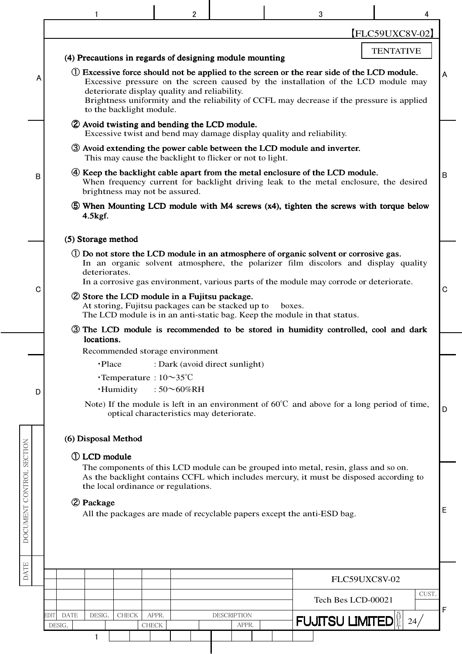|                                                                                                                                                                                                                                                                                                                                                                |                                                                                                                                                                                                                                                                                              | $\overline{2}$                                                              |                             |  | 3                            |               |   |  |  |  |  |  |  |  |
|----------------------------------------------------------------------------------------------------------------------------------------------------------------------------------------------------------------------------------------------------------------------------------------------------------------------------------------------------------------|----------------------------------------------------------------------------------------------------------------------------------------------------------------------------------------------------------------------------------------------------------------------------------------------|-----------------------------------------------------------------------------|-----------------------------|--|------------------------------|---------------|---|--|--|--|--|--|--|--|
|                                                                                                                                                                                                                                                                                                                                                                |                                                                                                                                                                                                                                                                                              |                                                                             |                             |  |                              | FLC59UXC8V-02 |   |  |  |  |  |  |  |  |
|                                                                                                                                                                                                                                                                                                                                                                |                                                                                                                                                                                                                                                                                              | <b>TENTATIVE</b><br>(4) Precautions in regards of designing module mounting |                             |  |                              |               |   |  |  |  |  |  |  |  |
| (1) Excessive force should not be applied to the screen or the rear side of the LCD module.<br>Α<br>Excessive pressure on the screen caused by the installation of the LCD module may<br>deteriorate display quality and reliability.<br>Brightness uniformity and the reliability of CCFL may decrease if the pressure is applied<br>to the backlight module. |                                                                                                                                                                                                                                                                                              |                                                                             |                             |  |                              |               |   |  |  |  |  |  |  |  |
|                                                                                                                                                                                                                                                                                                                                                                | 2 Avoid twisting and bending the LCD module.<br>Excessive twist and bend may damage display quality and reliability.                                                                                                                                                                         |                                                                             |                             |  |                              |               |   |  |  |  |  |  |  |  |
|                                                                                                                                                                                                                                                                                                                                                                | <b>3</b> Avoid extending the power cable between the LCD module and inverter.<br>This may cause the backlight to flicker or not to light.                                                                                                                                                    |                                                                             |                             |  |                              |               |   |  |  |  |  |  |  |  |
| в                                                                                                                                                                                                                                                                                                                                                              | 4) Keep the backlight cable apart from the metal enclosure of the LCD module.<br>B<br>When frequency current for backlight driving leak to the metal enclosure, the desired<br>brightness may not be assured.                                                                                |                                                                             |                             |  |                              |               |   |  |  |  |  |  |  |  |
|                                                                                                                                                                                                                                                                                                                                                                | 5 When Mounting LCD module with M4 screws (x4), tighten the screws with torque below<br>$4.5$ kgf.                                                                                                                                                                                           |                                                                             |                             |  |                              |               |   |  |  |  |  |  |  |  |
|                                                                                                                                                                                                                                                                                                                                                                | (5) Storage method                                                                                                                                                                                                                                                                           |                                                                             |                             |  |                              |               |   |  |  |  |  |  |  |  |
| C                                                                                                                                                                                                                                                                                                                                                              | (1) Do not store the LCD module in an atmosphere of organic solvent or corrosive gas.<br>In an organic solvent atmosphere, the polarizer film discolors and display quality<br>deteriorates.<br>In a corrosive gas environment, various parts of the module may corrode or deteriorate.<br>C |                                                                             |                             |  |                              |               |   |  |  |  |  |  |  |  |
|                                                                                                                                                                                                                                                                                                                                                                | 2 Store the LCD module in a Fujitsu package.<br>At storing, Fujitsu packages can be stacked up to<br>boxes.<br>The LCD module is in an anti-static bag. Keep the module in that status.                                                                                                      |                                                                             |                             |  |                              |               |   |  |  |  |  |  |  |  |
|                                                                                                                                                                                                                                                                                                                                                                | 3 The LCD module is recommended to be stored in humidity controlled, cool and dark<br>locations.                                                                                                                                                                                             |                                                                             |                             |  |                              |               |   |  |  |  |  |  |  |  |
|                                                                                                                                                                                                                                                                                                                                                                | Recommended storage environment                                                                                                                                                                                                                                                              |                                                                             |                             |  |                              |               |   |  |  |  |  |  |  |  |
|                                                                                                                                                                                                                                                                                                                                                                | ·Place<br>$\cdot$ Temperature : $10 \sim 35^{\circ}$ C                                                                                                                                                                                                                                       | : Dark (avoid direct sunlight)                                              |                             |  |                              |               |   |  |  |  |  |  |  |  |
| D                                                                                                                                                                                                                                                                                                                                                              | ·Humidity                                                                                                                                                                                                                                                                                    | : $50^{\circ}60\%$ RH                                                       |                             |  |                              |               |   |  |  |  |  |  |  |  |
|                                                                                                                                                                                                                                                                                                                                                                | Note) If the module is left in an environment of $60^{\circ}$ C and above for a long period of time,                                                                                                                                                                                         | optical characteristics may deteriorate.                                    |                             |  |                              |               | D |  |  |  |  |  |  |  |
|                                                                                                                                                                                                                                                                                                                                                                | (6) Disposal Method                                                                                                                                                                                                                                                                          |                                                                             |                             |  |                              |               |   |  |  |  |  |  |  |  |
|                                                                                                                                                                                                                                                                                                                                                                | 1 LCD module                                                                                                                                                                                                                                                                                 |                                                                             |                             |  |                              |               |   |  |  |  |  |  |  |  |
|                                                                                                                                                                                                                                                                                                                                                                | The components of this LCD module can be grouped into metal, resin, glass and so on.<br>As the backlight contains CCFL which includes mercury, it must be disposed according to<br>the local ordinance or regulations.                                                                       |                                                                             |                             |  |                              |               |   |  |  |  |  |  |  |  |
|                                                                                                                                                                                                                                                                                                                                                                | 2 Package                                                                                                                                                                                                                                                                                    |                                                                             |                             |  |                              |               | Ε |  |  |  |  |  |  |  |
| DOCUMENT CONTROL SECTION                                                                                                                                                                                                                                                                                                                                       | All the packages are made of recyclable papers except the anti-ESD bag.                                                                                                                                                                                                                      |                                                                             |                             |  |                              |               |   |  |  |  |  |  |  |  |
|                                                                                                                                                                                                                                                                                                                                                                |                                                                                                                                                                                                                                                                                              |                                                                             |                             |  |                              |               |   |  |  |  |  |  |  |  |
| DATE                                                                                                                                                                                                                                                                                                                                                           |                                                                                                                                                                                                                                                                                              |                                                                             |                             |  |                              | FLC59UXC8V-02 |   |  |  |  |  |  |  |  |
|                                                                                                                                                                                                                                                                                                                                                                |                                                                                                                                                                                                                                                                                              |                                                                             |                             |  | Tech Bes LCD-00021           | CUST.         |   |  |  |  |  |  |  |  |
|                                                                                                                                                                                                                                                                                                                                                                | EDIT<br><b>DATE</b><br>DESIG.<br><b>CHECK</b><br>DESIG.<br>CHECK                                                                                                                                                                                                                             | APPR.                                                                       | <b>DESCRIPTION</b><br>APPR. |  | <b>FUJITSU LIMITED</b> E 24/ |               | F |  |  |  |  |  |  |  |
|                                                                                                                                                                                                                                                                                                                                                                |                                                                                                                                                                                                                                                                                              |                                                                             |                             |  |                              |               |   |  |  |  |  |  |  |  |
|                                                                                                                                                                                                                                                                                                                                                                |                                                                                                                                                                                                                                                                                              |                                                                             |                             |  |                              |               |   |  |  |  |  |  |  |  |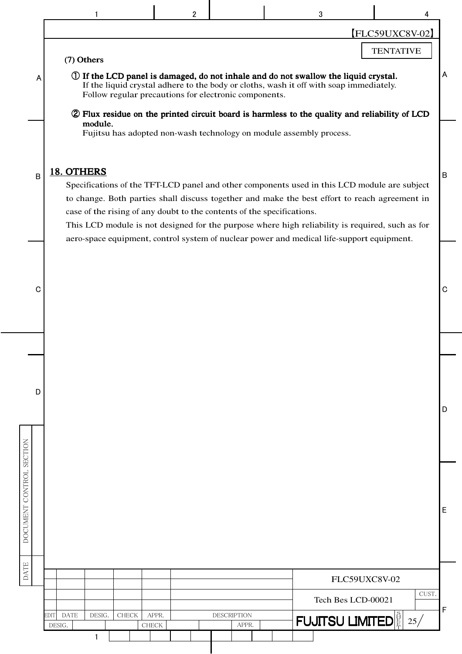| [FLC59UXC8V-02]<br><b>TENTATIVE</b><br>(7) Others<br>Α<br>(1) If the LCD panel is damaged, do not inhale and do not swallow the liquid crystal.<br>A<br>If the liquid crystal adhere to the body or cloths, wash it off with soap immediately.<br>Follow regular precautions for electronic components.<br>2 Flux residue on the printed circuit board is harmless to the quality and reliability of LCD<br>module.<br>Fujitsu has adopted non-wash technology on module assembly process.<br>18. OTHERS<br>B<br>$\sf B$<br>Specifications of the TFT-LCD panel and other components used in this LCD module are subject<br>to change. Both parties shall discuss together and make the best effort to reach agreement in<br>case of the rising of any doubt to the contents of the specifications.<br>This LCD module is not designed for the purpose where high reliability is required, such as for<br>aero-space equipment, control system of nuclear power and medical life-support equipment.<br>C<br>C<br>D<br>D<br>DOCUMENT CONTROL SECTION<br>E<br><b>DATE</b><br>FLC59UXC8V-02<br>CUST.<br>Tech Bes LCD-00021<br>F<br><b>FUJITSU LIMITED</b><br><b>DESCRIPTION</b><br>DESIG.<br>APPR.<br><b>DATE</b><br><b>CHECK</b><br>EDIT<br>25/<br>DESIG.<br><b>CHECK</b><br>APPR.<br>1 |  |  |  | $\overline{2}$ |  | 3 |  |  |
|---------------------------------------------------------------------------------------------------------------------------------------------------------------------------------------------------------------------------------------------------------------------------------------------------------------------------------------------------------------------------------------------------------------------------------------------------------------------------------------------------------------------------------------------------------------------------------------------------------------------------------------------------------------------------------------------------------------------------------------------------------------------------------------------------------------------------------------------------------------------------------------------------------------------------------------------------------------------------------------------------------------------------------------------------------------------------------------------------------------------------------------------------------------------------------------------------------------------------------------------------------------------------------------|--|--|--|----------------|--|---|--|--|
|                                                                                                                                                                                                                                                                                                                                                                                                                                                                                                                                                                                                                                                                                                                                                                                                                                                                                                                                                                                                                                                                                                                                                                                                                                                                                       |  |  |  |                |  |   |  |  |
|                                                                                                                                                                                                                                                                                                                                                                                                                                                                                                                                                                                                                                                                                                                                                                                                                                                                                                                                                                                                                                                                                                                                                                                                                                                                                       |  |  |  |                |  |   |  |  |
|                                                                                                                                                                                                                                                                                                                                                                                                                                                                                                                                                                                                                                                                                                                                                                                                                                                                                                                                                                                                                                                                                                                                                                                                                                                                                       |  |  |  |                |  |   |  |  |
|                                                                                                                                                                                                                                                                                                                                                                                                                                                                                                                                                                                                                                                                                                                                                                                                                                                                                                                                                                                                                                                                                                                                                                                                                                                                                       |  |  |  |                |  |   |  |  |
|                                                                                                                                                                                                                                                                                                                                                                                                                                                                                                                                                                                                                                                                                                                                                                                                                                                                                                                                                                                                                                                                                                                                                                                                                                                                                       |  |  |  |                |  |   |  |  |
|                                                                                                                                                                                                                                                                                                                                                                                                                                                                                                                                                                                                                                                                                                                                                                                                                                                                                                                                                                                                                                                                                                                                                                                                                                                                                       |  |  |  |                |  |   |  |  |
|                                                                                                                                                                                                                                                                                                                                                                                                                                                                                                                                                                                                                                                                                                                                                                                                                                                                                                                                                                                                                                                                                                                                                                                                                                                                                       |  |  |  |                |  |   |  |  |
|                                                                                                                                                                                                                                                                                                                                                                                                                                                                                                                                                                                                                                                                                                                                                                                                                                                                                                                                                                                                                                                                                                                                                                                                                                                                                       |  |  |  |                |  |   |  |  |
|                                                                                                                                                                                                                                                                                                                                                                                                                                                                                                                                                                                                                                                                                                                                                                                                                                                                                                                                                                                                                                                                                                                                                                                                                                                                                       |  |  |  |                |  |   |  |  |
|                                                                                                                                                                                                                                                                                                                                                                                                                                                                                                                                                                                                                                                                                                                                                                                                                                                                                                                                                                                                                                                                                                                                                                                                                                                                                       |  |  |  |                |  |   |  |  |
|                                                                                                                                                                                                                                                                                                                                                                                                                                                                                                                                                                                                                                                                                                                                                                                                                                                                                                                                                                                                                                                                                                                                                                                                                                                                                       |  |  |  |                |  |   |  |  |
|                                                                                                                                                                                                                                                                                                                                                                                                                                                                                                                                                                                                                                                                                                                                                                                                                                                                                                                                                                                                                                                                                                                                                                                                                                                                                       |  |  |  |                |  |   |  |  |
|                                                                                                                                                                                                                                                                                                                                                                                                                                                                                                                                                                                                                                                                                                                                                                                                                                                                                                                                                                                                                                                                                                                                                                                                                                                                                       |  |  |  |                |  |   |  |  |
|                                                                                                                                                                                                                                                                                                                                                                                                                                                                                                                                                                                                                                                                                                                                                                                                                                                                                                                                                                                                                                                                                                                                                                                                                                                                                       |  |  |  |                |  |   |  |  |
|                                                                                                                                                                                                                                                                                                                                                                                                                                                                                                                                                                                                                                                                                                                                                                                                                                                                                                                                                                                                                                                                                                                                                                                                                                                                                       |  |  |  |                |  |   |  |  |
|                                                                                                                                                                                                                                                                                                                                                                                                                                                                                                                                                                                                                                                                                                                                                                                                                                                                                                                                                                                                                                                                                                                                                                                                                                                                                       |  |  |  |                |  |   |  |  |
|                                                                                                                                                                                                                                                                                                                                                                                                                                                                                                                                                                                                                                                                                                                                                                                                                                                                                                                                                                                                                                                                                                                                                                                                                                                                                       |  |  |  |                |  |   |  |  |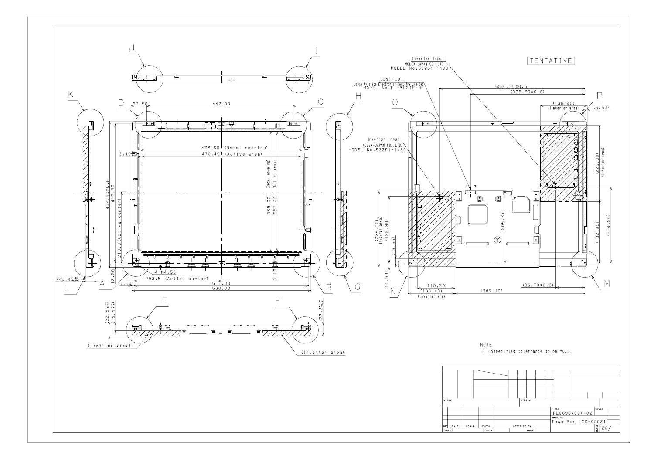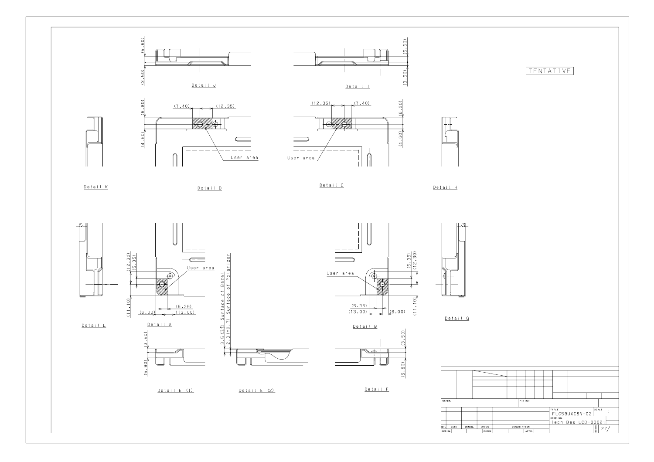